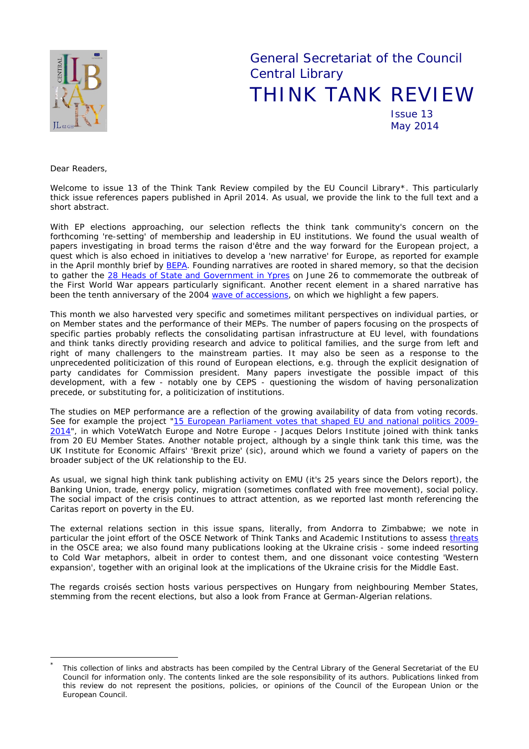

General Secretariat of the Council Central Library THINK TANK REVIEW Issue 13

May 2014

*Dear Readers,*

*Welcome to issue 13 of the Think Tank Review compiled by the EU Council Library[\\*.](#page-0-0) This particularly thick issue references papers published in April 2014. As usual, we provide the link to the full text and a short abstract.*

*With EP elections approaching, our selection reflects the think tank community's concern on the forthcoming 're-setting' of membership and leadership in EU institutions. We found the usual wealth of papers investigating in broad terms the* raison d'être *and the way forward for the European project, a quest which is also echoed in initiatives to develop a 'new narrative' for Europe, as reported for example in the April monthly brief by [BEPA.](http://ec.europa.eu/bepa/pdf/publications_pdf/see_also/n73_april_2014.pdf) Founding narratives are rooted in shared memory, so that the decision to gather the [28 Heads of State and Government](http://www.consilium.europa.eu/uedocs/cms_data/docs/pressdata/en/ec/141440.pdf) in Ypres on June 26 to commemorate the outbreak of the First World War appears particularly significant. Another recent element in a shared narrative has been the tenth anniversary of the 2004 [wave of accessions,](http://www.consilium.europa.eu/homepage/showfocus?focusName=council-celebrates-10th-anniversary-of-the-2004-enlargement) on which we highlight a few papers.*

*This month we also harvested very specific and sometimes militant perspectives on individual parties, or on Member states and the performance of their MEPs. The number of papers focusing on the prospects of specific parties probably reflects the consolidating partisan infrastructure at EU level, with foundations and think tanks directly providing research and advice to political families, and the surge from left and*  right of many challengers to the mainstream parties. It may also be seen as a response to the *unprecedented politicization of this round of European elections, e.g. through the explicit designation of party candidates for Commission president. Many papers investigate the possible impact of this development, with a few - notably one by CEPS - questioning the wisdom of having personalization precede, or substituting for, a politicization of institutions.*

*The studies on MEP performance are a reflection of the growing availability of data from voting records. See for example the project ["15 European Parliament votes that shaped EU and national politics 2009-](http://www.votewatch.eu/en/research.html#sthash.F1crcpOG.dpuf) [2014"](http://www.votewatch.eu/en/research.html#sthash.F1crcpOG.dpuf), in which [VoteWatch Europe](http://www.votewatch.eu/) and Notre Europe - [Jacques Delors Institute](http://www.notre-europe.eu/) joined with think tanks from 20 EU Member States. Another notable project, although by a single think tank this time, was the UK Institute for Economic Affairs' 'Brexit prize'* (sic)*, around which we found a variety of papers on the broader subject of the UK relationship to the EU.*

*As usual, we signal high think tank publishing activity on EMU (it's 25 years since the Delors report), the Banking Union, trade, energy policy, migration (sometimes conflated with free movement), social policy. The social impact of the crisis continues to attract attention, as we reported last month referencing the Caritas report on poverty in the EU.* 

*The external relations section in this issue spans, literally, from Andorra to Zimbabwe; we note in particular the joint effort of the OSCE Network of Think Tanks and Academic Institutions to assess [threats](http://osce-network.net/fileadmin/user_osce-network/documents/Threat_Perceptions_in_the_OSCE_Area.pdf) in the OSCE area; we also found many publications looking at the Ukraine crisis - some indeed resorting to Cold War metaphors, albeit in order to contest them, and one dissonant voice contesting 'Western expansion', together with an original look at the implications of the Ukraine crisis for the Middle East.*

*The* regards croisés *section hosts various perspectives on Hungary from neighbouring Member States, stemming from the recent elections, but also a look from France at German-Algerian relations.*

<span id="page-0-0"></span>This collection of links and abstracts has been compiled by the Central Library of the General Secretariat of the EU Council for information only. The contents linked are the sole responsibility of its authors. Publications linked from this review do not represent the positions, policies, or opinions of the Council of the European Union or the European Council.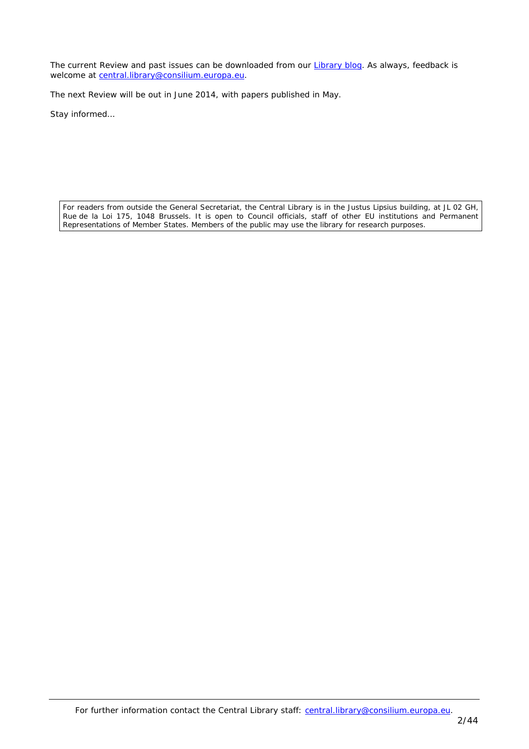*The current Review and past issues can be downloaded from our [Library blog.](http://www.councillibrary.wordpress.com/) As always, feedback is welcome at [central.library@consilium.europa.eu.](mailto:central.library@consilium.europa.eu)*

*The next Review will be out in June 2014, with papers published in May.*

*Stay informed…*

For readers from outside the General Secretariat, the Central Library is in the Justus Lipsius building, at JL 02 GH, Rue de la Loi 175, 1048 Brussels. It is open to Council officials, staff of other EU institutions and Permanent Representations of Member States. Members of the public may use the library for research purposes.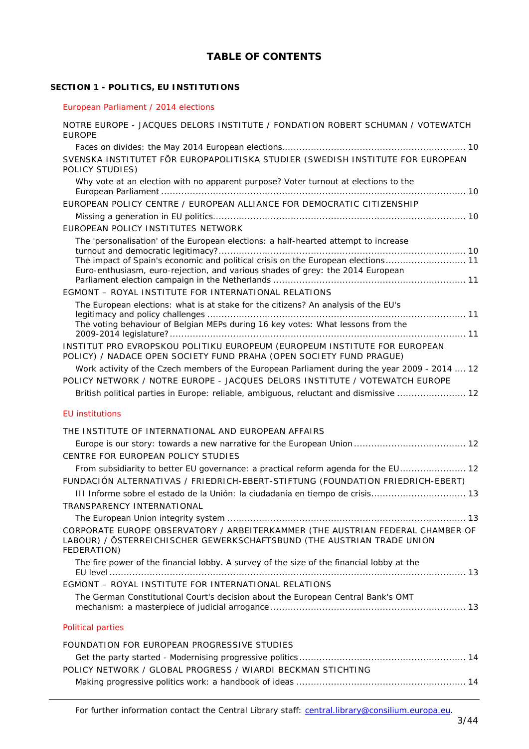# **TABLE OF CONTENTS**

# **SECTION 1 - [POLITICS, EU INSTITUTIONS](#page-9-0)**

#### [European Parliament / 2014 elections](#page-9-1)

| NOTRE EUROPE - JACQUES DELORS INSTITUTE / FONDATION ROBERT SCHUMAN / VOTEWATCH<br><b>EUROPE</b>                                                                         |
|-------------------------------------------------------------------------------------------------------------------------------------------------------------------------|
|                                                                                                                                                                         |
| SVENSKA INSTITUTET FÖR EUROPAPOLITISKA STUDIER (SWEDISH INSTITUTE FOR EUROPEAN<br>POLICY STUDIES)                                                                       |
| Why vote at an election with no apparent purpose? Voter turnout at elections to the                                                                                     |
| EUROPEAN POLICY CENTRE / EUROPEAN ALLIANCE FOR DEMOCRATIC CITIZENSHIP                                                                                                   |
|                                                                                                                                                                         |
| EUROPEAN POLICY INSTITUTES NETWORK                                                                                                                                      |
| The 'personalisation' of the European elections: a half-hearted attempt to increase                                                                                     |
| The impact of Spain's economic and political crisis on the European elections 11<br>Euro-enthusiasm, euro-rejection, and various shades of grey: the 2014 European      |
| EGMONT - ROYAL INSTITUTE FOR INTERNATIONAL RELATIONS                                                                                                                    |
| The European elections: what is at stake for the citizens? An analysis of the EU's                                                                                      |
|                                                                                                                                                                         |
| The voting behaviour of Belgian MEPs during 16 key votes: What lessons from the                                                                                         |
| INSTITUT PRO EVROPSKOU POLITIKU EUROPEUM (EUROPEUM INSTITUTE FOR EUROPEAN<br>POLICY) / NADACE OPEN SOCIETY FUND PRAHA (OPEN SOCIETY FUND PRAGUE)                        |
| Work activity of the Czech members of the European Parliament during the year 2009 - 2014  12                                                                           |
| POLICY NETWORK / NOTRE EUROPE - JACQUES DELORS INSTITUTE / VOTEWATCH EUROPE                                                                                             |
| British political parties in Europe: reliable, ambiguous, reluctant and dismissive  12                                                                                  |
| <b>EU</b> institutions                                                                                                                                                  |
|                                                                                                                                                                         |
| THE INSTITUTE OF INTERNATIONAL AND EUROPEAN AFFAIRS                                                                                                                     |
| CENTRE FOR EUROPEAN POLICY STUDIES                                                                                                                                      |
| From subsidiarity to better EU governance: a practical reform agenda for the EU 12                                                                                      |
| FUNDACIÓN ALTERNATIVAS / FRIEDRICH-EBERT-STIFTUNG (FOUNDATION FRIEDRICH-EBERT)                                                                                          |
|                                                                                                                                                                         |
| TRANSPARENCY INTERNATIONAL                                                                                                                                              |
|                                                                                                                                                                         |
| CORPORATE EUROPE OBSERVATORY / ARBEITERKAMMER (THE AUSTRIAN FEDERAL CHAMBER OF<br>LABOUR) / ÖSTERREICHISCHER GEWERKSCHAFTSBUND (THE AUSTRIAN TRADE UNION<br>FEDERATION) |
| The fire power of the financial lobby. A survey of the size of the financial lobby at the                                                                               |
| EGMONT - ROYAL INSTITUTE FOR INTERNATIONAL RELATIONS                                                                                                                    |
| The German Constitutional Court's decision about the European Central Bank's OMT                                                                                        |
| <b>Political parties</b>                                                                                                                                                |
| FOUNDATION FOR EUROPEAN PROGRESSIVE STUDIES                                                                                                                             |
|                                                                                                                                                                         |
| POLICY NETWORK / GLOBAL PROGRESS / WIARDI BECKMAN STICHTING                                                                                                             |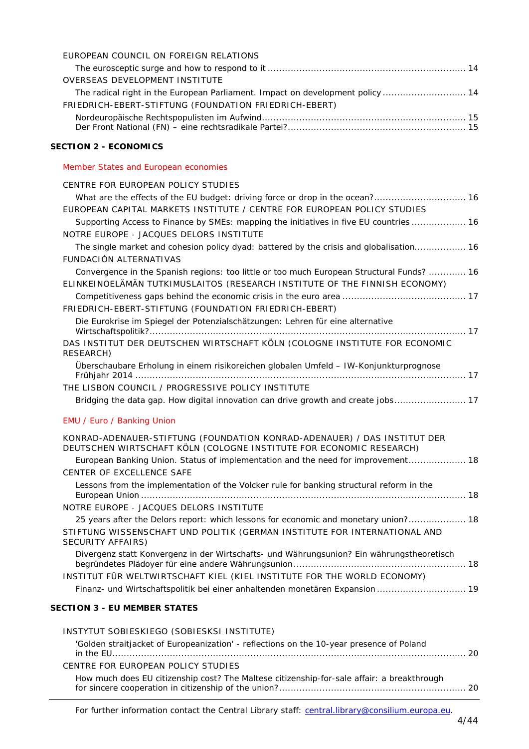| EUROPEAN COUNCIL ON FOREIGN RELATIONS                                                     |  |
|-------------------------------------------------------------------------------------------|--|
|                                                                                           |  |
| OVERSEAS DEVELOPMENT INSTITUTE                                                            |  |
| The radical right in the European Parliament. Impact on development policy  14            |  |
| FRIEDRICH-EBERT-STIFTUNG (FOUNDATION FRIEDRICH-EBERT)                                     |  |
|                                                                                           |  |
|                                                                                           |  |
| <b>SECTION 2 - ECONOMICS</b>                                                              |  |
| Member States and European economies                                                      |  |
| CENTRE FOR EUROPEAN POLICY STUDIES                                                        |  |
|                                                                                           |  |
| EUROPEAN CAPITAL MARKETS INSTITUTE / CENTRE FOR EUROPEAN POLICY STUDIES                   |  |
| Supporting Access to Finance by SMEs: mapping the initiatives in five EU countries  16    |  |
| NOTRE EUROPE - JACQUES DELORS INSTITUTE                                                   |  |
| The single market and cohesion policy dyad: battered by the crisis and globalisation 16   |  |
| FUNDACIÓN ALTERNATIVAS                                                                    |  |
| Convergence in the Spanish regions: too little or too much European Structural Funds?  16 |  |
| ELINKEINOELÄMÄN TUTKIMUSLAITOS (RESEARCH INSTITUTE OF THE FINNISH ECONOMY)                |  |
|                                                                                           |  |
| FRIEDRICH-EBERT-STIFTUNG (FOUNDATION FRIEDRICH-EBERT)                                     |  |
| Die Eurokrise im Spiegel der Potenzialschätzungen: Lehren für eine alternative            |  |
| DAS INSTITUT DER DEUTSCHEN WIRTSCHAFT KÖLN (COLOGNE INSTITUTE FOR ECONOMIC<br>RESEARCH)   |  |
| Überschaubare Erholung in einem risikoreichen globalen Umfeld - IW-Konjunkturprognose     |  |
|                                                                                           |  |
| THE LISBON COUNCIL / PROGRESSIVE POLICY INSTITUTE                                         |  |
| Bridging the data gap. How digital innovation can drive growth and create jobs 17         |  |
| EMU / Euro / Banking Union                                                                |  |
| KONRAD-ADENAUER-STIFTUNG (FOUNDATION KONRAD-ADENAUER) / DAS INSTITUT DER                  |  |
| DEUTSCHEN WIRTSCHAFT KÖLN (COLOGNE INSTITUTE FOR ECONOMIC RESEARCH)                       |  |
| European Banking Union. Status of implementation and the need for improvement 18          |  |
| CENTER OF EXCELLENCE SAFE                                                                 |  |
| Lessons from the implementation of the Volcker rule for banking structural reform in the  |  |
| NOTRE EUROPE - JACQUES DELORS INSTITUTE                                                   |  |
| 25 years after the Delors report: which lessons for economic and monetary union? 18       |  |
| STIFTUNG WISSENSCHAFT UND POLITIK (GERMAN INSTITUTE FOR INTERNATIONAL AND                 |  |
| SECURITY AFFAIRS)                                                                         |  |
| Divergenz statt Konvergenz in der Wirtschafts- und Währungsunion? Ein währungstheoretisch |  |
|                                                                                           |  |
| INSTITUT FÜR WELTWIRTSCHAFT KIEL (KIEL INSTITUTE FOR THE WORLD ECONOMY)                   |  |
| Finanz- und Wirtschaftspolitik bei einer anhaltenden monetären Expansion  19              |  |
| <b>SECTION 3 - EU MEMBER STATES</b>                                                       |  |

| INSTYTUT SOBIESKIEGO (SOBIESKSI INSTITUTE)                                                 |  |
|--------------------------------------------------------------------------------------------|--|
| 'Golden straitjacket of Europeanization' - reflections on the 10-year presence of Poland   |  |
| CENTRE FOR EUROPEAN POLICY STUDIES                                                         |  |
| How much does EU citizenship cost? The Maltese citizenship-for-sale affair: a breakthrough |  |

For further information contact the Central Library staff: central.library@consilium.europa.eu.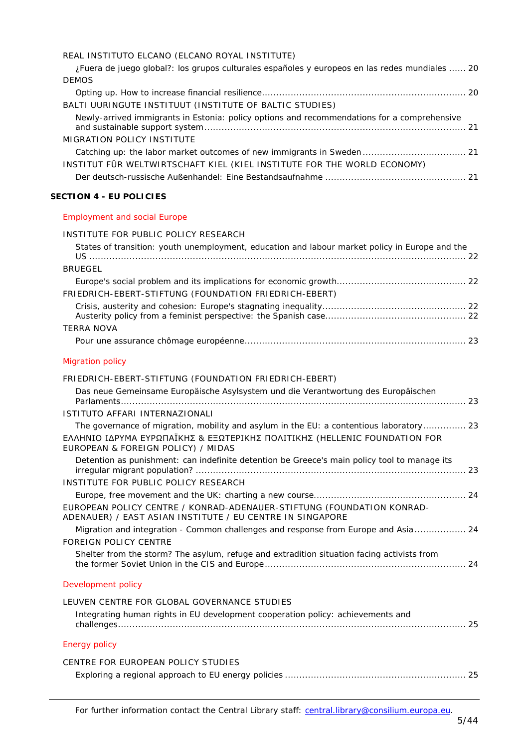|  |  |  |  |  | REAL INSTITUTO ELCANO (ELCANO ROYAL INSTITUTE) |
|--|--|--|--|--|------------------------------------------------|
|--|--|--|--|--|------------------------------------------------|

| ¿Fuera de juego global?: los grupos culturales españoles y europeos en las redes mundiales  20<br><b>DEMOS</b>                     |  |
|------------------------------------------------------------------------------------------------------------------------------------|--|
| BALTI UURINGUTE INSTITUUT (INSTITUTE OF BALTIC STUDIES)                                                                            |  |
| Newly-arrived immigrants in Estonia: policy options and recommendations for a comprehensive                                        |  |
| MIGRATION POLICY INSTITUTE                                                                                                         |  |
|                                                                                                                                    |  |
| INSTITUT FÜR WELTWIRTSCHAFT KIEL (KIEL INSTITUTE FOR THE WORLD ECONOMY)                                                            |  |
|                                                                                                                                    |  |
| <b>SECTION 4 - EU POLICIES</b>                                                                                                     |  |
| <b>Employment and social Europe</b>                                                                                                |  |
| INSTITUTE FOR PUBLIC POLICY RESEARCH                                                                                               |  |
| States of transition: youth unemployment, education and labour market policy in Europe and the                                     |  |
|                                                                                                                                    |  |
| <b>BRUEGEL</b>                                                                                                                     |  |
| FRIEDRICH-EBERT-STIFTUNG (FOUNDATION FRIEDRICH-EBERT)                                                                              |  |
|                                                                                                                                    |  |
|                                                                                                                                    |  |
| <b>TERRA NOVA</b>                                                                                                                  |  |
|                                                                                                                                    |  |
| <b>Migration policy</b>                                                                                                            |  |
| FRIEDRICH-EBERT-STIFTUNG (FOUNDATION FRIEDRICH-EBERT)                                                                              |  |
| Das neue Gemeinsame Europäische Asylsystem und die Verantwortung des Europäischen                                                  |  |
| ISTITUTO AFFARI INTERNAZIONALI                                                                                                     |  |
| The governance of migration, mobility and asylum in the EU: a contentious laboratory 23                                            |  |
|                                                                                                                                    |  |
| ΕΛΛΗΝΙΟ ΙΔΡΥΜΑ ΕΥΡΩΠΑΪΚΗΣ & ΕΞΩΤΕΡΙΚΗΣ ΠΟΛΙΤΙΚΗΣ (HELLENIC FOUNDATION FOR<br>EUROPEAN & FOREIGN POLICY) / MIDAS                    |  |
| Detention as punishment: can indefinite detention be Greece's main policy tool to manage its                                       |  |
|                                                                                                                                    |  |
| INSTITUTE FOR PUBLIC POLICY RESEARCH                                                                                               |  |
|                                                                                                                                    |  |
| EUROPEAN POLICY CENTRE / KONRAD-ADENAUER-STIFTUNG (FOUNDATION KONRAD-<br>ADENAUER) / EAST ASIAN INSTITUTE / EU CENTRE IN SINGAPORE |  |
| Migration and integration - Common challenges and response from Europe and Asia 24                                                 |  |
| <b>FOREIGN POLICY CENTRE</b>                                                                                                       |  |
| Shelter from the storm? The asylum, refuge and extradition situation facing activists from                                         |  |
| Development policy                                                                                                                 |  |
| LEUVEN CENTRE FOR GLOBAL GOVERNANCE STUDIES                                                                                        |  |
| Integrating human rights in EU development cooperation policy: achievements and                                                    |  |
|                                                                                                                                    |  |
| <b>Energy policy</b>                                                                                                               |  |
| CENTRE FOR EUROPEAN POLICY STUDIES                                                                                                 |  |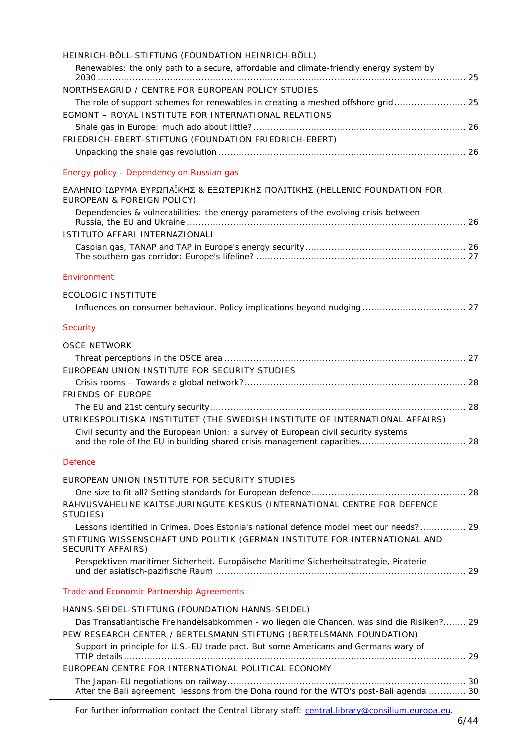| HEINRICH-BÖLL-STIFTUNG (FOUNDATION HEINRICH-BÖLL)<br>Renewables: the only path to a secure, affordable and climate-friendly energy system by                                                    |  |
|-------------------------------------------------------------------------------------------------------------------------------------------------------------------------------------------------|--|
| NORTHSEAGRID / CENTRE FOR EUROPEAN POLICY STUDIES<br>The role of support schemes for renewables in creating a meshed offshore grid 25                                                           |  |
| EGMONT - ROYAL INSTITUTE FOR INTERNATIONAL RELATIONS                                                                                                                                            |  |
| FRIEDRICH-EBERT-STIFTUNG (FOUNDATION FRIEDRICH-EBERT)                                                                                                                                           |  |
|                                                                                                                                                                                                 |  |
| Energy policy - Dependency on Russian gas                                                                                                                                                       |  |
| ΕΛΛΗΝΙΟ ΙΔΡΥΜΑ ΕΥΡΩΠΑΪΚΗΣ & ΕΞΩΤΕΡΙΚΗΣ ΠΟΛΙΤΙΚΗΣ (HELLENIC FOUNDATION FOR<br>EUROPEAN & FOREIGN POLICY)                                                                                         |  |
| Dependencies & vulnerabilities: the energy parameters of the evolving crisis between                                                                                                            |  |
| ISTITUTO AFFARI INTERNAZIONALI                                                                                                                                                                  |  |
|                                                                                                                                                                                                 |  |
| Environment                                                                                                                                                                                     |  |
| <b>ECOLOGIC INSTITUTE</b>                                                                                                                                                                       |  |
| Security                                                                                                                                                                                        |  |
| <b>OSCE NETWORK</b>                                                                                                                                                                             |  |
|                                                                                                                                                                                                 |  |
| EUROPEAN UNION INSTITUTE FOR SECURITY STUDIES                                                                                                                                                   |  |
| <b>FRIENDS OF EUROPE</b>                                                                                                                                                                        |  |
|                                                                                                                                                                                                 |  |
| UTRIKESPOLITISKA INSTITUTET (THE SWEDISH INSTITUTE OF INTERNATIONAL AFFAIRS)                                                                                                                    |  |
| Civil security and the European Union: a survey of European civil security systems                                                                                                              |  |
| <b>Defence</b>                                                                                                                                                                                  |  |
| EUROPEAN UNION INSTITUTE FOR SECURITY STUDIES                                                                                                                                                   |  |
|                                                                                                                                                                                                 |  |
| RAHVUSVAHELINE KAITSEUURINGUTE KESKUS (INTERNATIONAL CENTRE FOR DEFENCE<br>STUDIES)                                                                                                             |  |
| Lessons identified in Crimea. Does Estonia's national defence model meet our needs? 29<br>STIFTUNG WISSENSCHAFT UND POLITIK (GERMAN INSTITUTE FOR INTERNATIONAL AND<br><b>SECURITY AFFAIRS)</b> |  |
| Perspektiven maritimer Sicherheit. Europäische Maritime Sicherheitsstrategie, Piraterie                                                                                                         |  |
| Trade and Economic Partnership Agreements                                                                                                                                                       |  |
| HANNS-SEIDEL-STIFTUNG (FOUNDATION HANNS-SEIDEL)                                                                                                                                                 |  |
| Das Transatlantische Freihandelsabkommen - wo liegen die Chancen, was sind die Risiken? 29                                                                                                      |  |
| PEW RESEARCH CENTER / BERTELSMANN STIFTUNG (BERTELSMANN FOUNDATION)<br>Support in principle for U.S.-EU trade pact. But some Americans and Germans wary of                                      |  |
|                                                                                                                                                                                                 |  |
| EUROPEAN CENTRE FOR INTERNATIONAL POLITICAL ECONOMY                                                                                                                                             |  |
| After the Bali agreement: lessons from the Doha round for the WTO's post-Bali agenda  30                                                                                                        |  |

For further information contact the Central Library staff: central.library@consilium.europa.eu.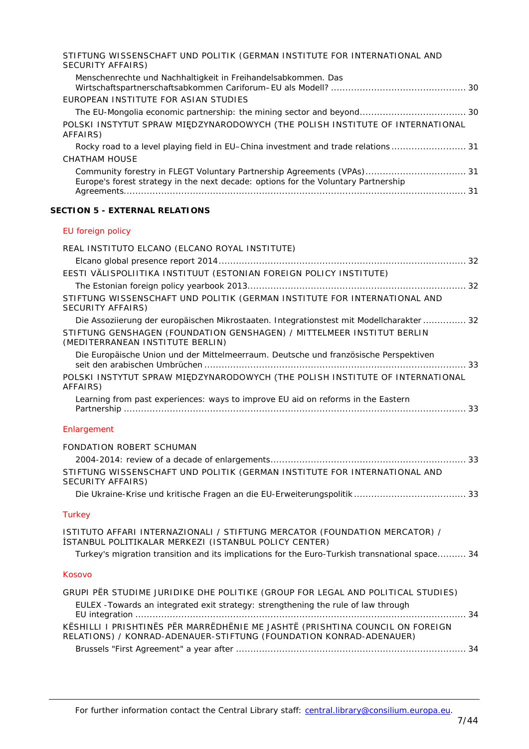| STIFTUNG WISSENSCHAFT UND POLITIK (GERMAN INSTITUTE FOR INTERNATIONAL AND<br>SECURITY AFFAIRS)                                                               |  |
|--------------------------------------------------------------------------------------------------------------------------------------------------------------|--|
| Menschenrechte und Nachhaltigkeit in Freihandelsabkommen. Das                                                                                                |  |
| EUROPEAN INSTITUTE FOR ASIAN STUDIES                                                                                                                         |  |
|                                                                                                                                                              |  |
| POLSKI INSTYTUT SPRAW MIĘDZYNARODOWYCH (THE POLISH INSTITUTE OF INTERNATIONAL<br>AFFAIRS)                                                                    |  |
| Rocky road to a level playing field in EU–China investment and trade relations                                                                               |  |
| CHATHAM HOUSE                                                                                                                                                |  |
| Community forestry in FLEGT Voluntary Partnership Agreements (VPAs) 31<br>Europe's forest strategy in the next decade: options for the Voluntary Partnership |  |
|                                                                                                                                                              |  |

## **SECTION 5 - [EXTERNAL RELATIONS](#page-31-0)**

# [EU foreign policy](#page-31-1)

| REAL INSTITUTO ELCANO (ELCANO ROYAL INSTITUTE)                                                                                                      |
|-----------------------------------------------------------------------------------------------------------------------------------------------------|
|                                                                                                                                                     |
| EESTI VÄLISPOLIITIKA INSTITUUT (ESTONIAN FOREIGN POLICY INSTITUTE)                                                                                  |
|                                                                                                                                                     |
| STIFTUNG WISSENSCHAFT UND POLITIK (GERMAN INSTITUTE FOR INTERNATIONAL AND<br><b>SECURITY AFFAIRS)</b>                                               |
| Die Assoziierung der europäischen Mikrostaaten. Integrationstest mit Modellcharakter  32                                                            |
| STIFTUNG GENSHAGEN (FOUNDATION GENSHAGEN) / MITTELMEER INSTITUT BERLIN<br>(MEDITERRANEAN INSTITUTE BERLIN)                                          |
| Die Europäische Union und der Mittelmeerraum. Deutsche und französische Perspektiven                                                                |
| POLSKI INSTYTUT SPRAW MIĘDZYNARODOWYCH (THE POLISH INSTITUTE OF INTERNATIONAL<br>AFFAIRS)                                                           |
| Learning from past experiences: ways to improve EU aid on reforms in the Eastern                                                                    |
| Enlargement                                                                                                                                         |
| FONDATION ROBERT SCHUMAN                                                                                                                            |
|                                                                                                                                                     |
| STIFTUNG WISSENSCHAFT UND POLITIK (GERMAN INSTITUTE FOR INTERNATIONAL AND<br>SECURITY AFFAIRS)                                                      |
|                                                                                                                                                     |
| <b>Turkey</b>                                                                                                                                       |
| ISTITUTO AFFARI INTERNAZIONALI / STIFTUNG MERCATOR (FOUNDATION MERCATOR) /<br>İSTANBUL POLITIKALAR MERKEZI (ISTANBUL POLICY CENTER)                 |
| Turkey's migration transition and its implications for the Euro-Turkish transnational space 34                                                      |
| Kosovo                                                                                                                                              |
| GRUPI PËR STUDIME JURIDIKE DHE POLITIKE (GROUP FOR LEGAL AND POLITICAL STUDIES)                                                                     |
| EULEX - Towards an integrated exit strategy: strengthening the rule of law through                                                                  |
| KËSHILLI I PRISHTINËS PËR MARRËDHËNIE ME JASHTË (PRISHTINA COUNCIL ON FOREIGN<br>RELATIONS) / KONRAD-ADENAUER-STIFTUNG (FOUNDATION KONRAD-ADENAUER) |
|                                                                                                                                                     |
|                                                                                                                                                     |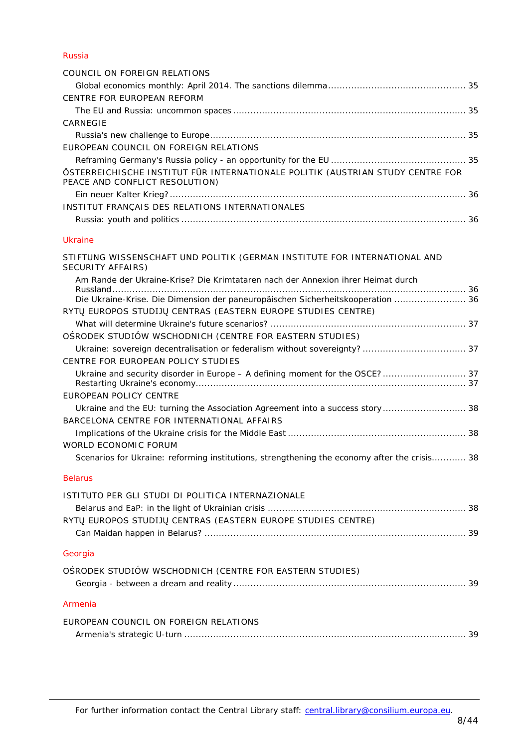## [Russia](#page-34-0)

| COUNCIL ON FOREIGN RELATIONS                                                                                     |
|------------------------------------------------------------------------------------------------------------------|
|                                                                                                                  |
| CENTRE FOR EUROPEAN REFORM                                                                                       |
|                                                                                                                  |
| CARNEGIE                                                                                                         |
|                                                                                                                  |
| EUROPEAN COUNCIL ON FOREIGN RELATIONS                                                                            |
|                                                                                                                  |
| ÖSTERREICHISCHE INSTITUT FÜR INTERNATIONALE POLITIK (AUSTRIAN STUDY CENTRE FOR<br>PEACE AND CONFLICT RESOLUTION) |
|                                                                                                                  |
| INSTITUT FRANCAIS DES RELATIONS INTERNATIONALES                                                                  |
|                                                                                                                  |

# [Ukraine](#page-35-4)

| STIFTUNG WISSENSCHAFT UND POLITIK (GERMAN INSTITUTE FOR INTERNATIONAL AND<br>SECURITY AFFAIRS)                                                                      |  |
|---------------------------------------------------------------------------------------------------------------------------------------------------------------------|--|
| Am Rande der Ukraine-Krise? Die Krimtataren nach der Annexion ihrer Heimat durch<br>Die Ukraine-Krise. Die Dimension der paneuropäischen Sicherheitskooperation  36 |  |
| RYTŲ EUROPOS STUDIJŲ CENTRAS (EASTERN EUROPE STUDIES CENTRE)                                                                                                        |  |
|                                                                                                                                                                     |  |
| OŚRODEK STUDIÓW WSCHODNICH (CENTRE FOR EASTERN STUDIES)                                                                                                             |  |
|                                                                                                                                                                     |  |
| CENTRE FOR EUROPEAN POLICY STUDIES                                                                                                                                  |  |
|                                                                                                                                                                     |  |
| <b>EUROPEAN POLICY CENTRE</b>                                                                                                                                       |  |
| Ukraine and the EU: turning the Association Agreement into a success story 38                                                                                       |  |
| BARCELONA CENTRE FOR INTERNATIONAL AFFAIRS                                                                                                                          |  |
|                                                                                                                                                                     |  |
| WORLD ECONOMIC FORUM                                                                                                                                                |  |
| Scenarios for Ukraine: reforming institutions, strengthening the economy after the crisis 38                                                                        |  |
| <b>Belarus</b>                                                                                                                                                      |  |
| ISTITUTO PER GLI STUDI DI POLITICA INTERNAZIONALE                                                                                                                   |  |
| RYTŲ EUROPOS STUDIJŲ CENTRAS (EASTERN EUROPE STUDIES CENTRE)                                                                                                        |  |
|                                                                                                                                                                     |  |
| Georgia                                                                                                                                                             |  |
| OSRODEK STUDIÓW WSCHODNICH (CENTRE FOR EASTERN STUDIES)                                                                                                             |  |
| Armenia                                                                                                                                                             |  |
|                                                                                                                                                                     |  |
| EUROPEAN COUNCIL ON FOREIGN RELATIONS                                                                                                                               |  |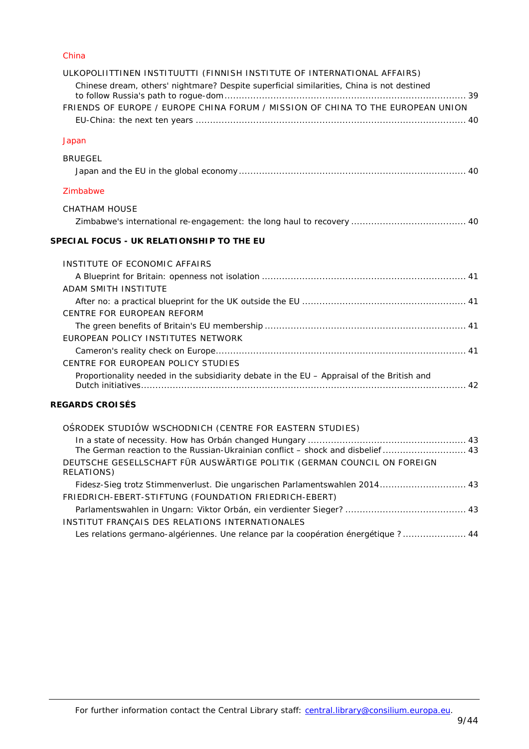#### [China](#page-38-8)

| ULKOPOLIITTINEN INSTITUUTTI (FINNISH INSTITUTE OF INTERNATIONAL AFFAIRS)<br>Chinese dream, others' nightmare? Despite superficial similarities, China is not destined |
|-----------------------------------------------------------------------------------------------------------------------------------------------------------------------|
| FRIENDS OF EUROPE / EUROPE CHINA FORUM / MISSION OF CHINA TO THE EUROPEAN UNION                                                                                       |
|                                                                                                                                                                       |
| Japan                                                                                                                                                                 |
|                                                                                                                                                                       |
| <b>BRUEGEL</b>                                                                                                                                                        |
|                                                                                                                                                                       |
| Zimbabwe                                                                                                                                                              |
| <b>CHATHAM HOUSE</b>                                                                                                                                                  |
|                                                                                                                                                                       |
| SPECIAL FOCUS - UK RELATIONSHIP TO THE EU                                                                                                                             |
| INSTITUTE OF ECONOMIC AFFAIRS                                                                                                                                         |
|                                                                                                                                                                       |
| ADAM SMITH INSTITUTE                                                                                                                                                  |
|                                                                                                                                                                       |
| CENTRE FOR EUROPEAN REFORM                                                                                                                                            |
|                                                                                                                                                                       |
| EUROPEAN POLICY INSTITUTES NETWORK                                                                                                                                    |
|                                                                                                                                                                       |
| CENTRE FOR EUROPEAN POLICY STUDIES                                                                                                                                    |
| Proportionality needed in the subsidiarity debate in the EU - Appraisal of the British and                                                                            |
|                                                                                                                                                                       |
| <b>REGARDS CROISÉS</b>                                                                                                                                                |
| OSRODEK STUDIÓW WSCHODNICH (CENTRE FOR EASTERN STUDIES)                                                                                                               |
|                                                                                                                                                                       |

| The German reaction to the Russian-Ukrainian conflict - shock and disbelief  43       |  |
|---------------------------------------------------------------------------------------|--|
| DEUTSCHE GESELLSCHAFT FÜR AUSWÄRTIGE POLITIK (GERMAN COUNCIL ON FOREIGN<br>RELATIONS) |  |
| Fidesz-Sieg trotz Stimmenverlust. Die ungarischen Parlamentswahlen 2014 43            |  |
| FRIEDRICH-EBERT-STIFTUNG (FOUNDATION FRIEDRICH-EBERT)                                 |  |
|                                                                                       |  |
| INSTITUT FRANÇAIS DES RELATIONS INTERNATIONALES                                       |  |
| Les relations germano-algériennes. Une relance par la coopération énergétique ? 44    |  |
|                                                                                       |  |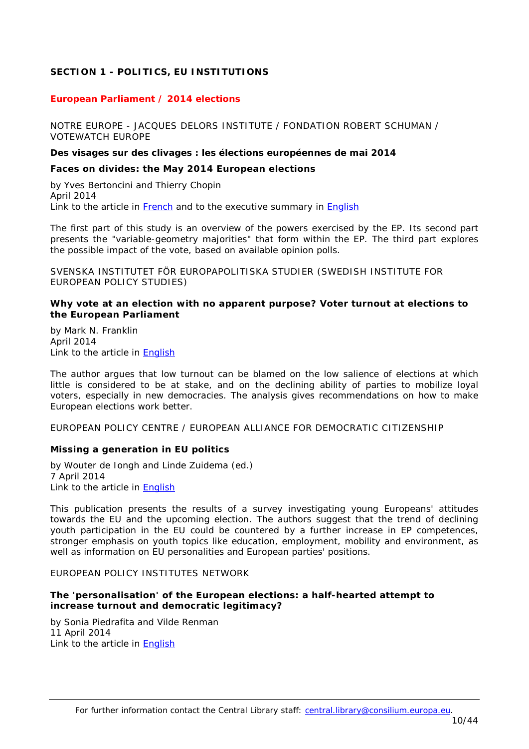# <span id="page-9-0"></span>**SECTION 1 - POLITICS, EU INSTITUTIONS**

## <span id="page-9-1"></span>*European Parliament / 2014 elections*

<span id="page-9-2"></span>NOTRE EUROPE - JACQUES DELORS INSTITUTE / FONDATION ROBERT SCHUMAN / VOTEWATCH EUROPE

#### **Des visages sur des clivages : les élections européennes de mai 2014**

#### <span id="page-9-3"></span>*Faces on divides: the May 2014 European elections*

by Yves Bertoncini and Thierry Chopin April 2014 Link to the article in [French](http://www.notre-europe.eu/media/visagesclivagesbertoncini-chopinne-ijdavr2014fr.pdf) and to the executive summary in [English](http://www.notre-europe.eu/media/facesondividesstudies104executivesummaryne-jdiapr2014.pdf)

The first part of this study is an overview of the powers exercised by the EP. Its second part presents the "variable-geometry majorities" that form within the EP. The third part explores the possible impact of the vote, based on available opinion polls.

<span id="page-9-4"></span>SVENSKA INSTITUTET FÖR EUROPAPOLITISKA STUDIER (SWEDISH INSTITUTE FOR EUROPEAN POLICY STUDIES)

## <span id="page-9-5"></span>**Why vote at an election with no apparent purpose? Voter turnout at elections to the European Parliament**

by Mark N. Franklin April 2014 Link to the article in [English](http://www.sieps.se/sites/default/files/2014_4epa_version2_0.pdf)

The author argues that low turnout can be blamed on the low salience of elections at which little is considered to be at stake, and on the declining ability of parties to mobilize loyal voters, especially in new democracies. The analysis gives recommendations on how to make European elections work better.

<span id="page-9-6"></span>EUROPEAN POLICY CENTRE / EUROPEAN ALLIANCE FOR DEMOCRATIC CITIZENSHIP

## <span id="page-9-7"></span>**Missing a generation in EU politics**

by Wouter de Iongh and Linde Zuidema (ed.) 7 April 2014 Link to the article in [English](http://www.epc.eu/documents/uploads/pub_4372_missing_a_generation_in_eu_politics.pdf)

This publication presents the results of a survey investigating young Europeans' attitudes towards the EU and the upcoming election. The authors suggest that the trend of declining youth participation in the EU could be countered by a further increase in EP competences, stronger emphasis on youth topics like education, employment, mobility and environment, as well as information on EU personalities and European parties' positions.

#### <span id="page-9-8"></span>EUROPEAN POLICY INSTITUTES NETWORK

#### <span id="page-9-9"></span>**The 'personalisation' of the European elections: a half-hearted attempt to increase turnout and democratic legitimacy?**

by Sonia Piedrafita and Vilde Renman 11 April 2014 Link to the article in [English](http://www.ceps.be/ceps/dld/9160/pdf)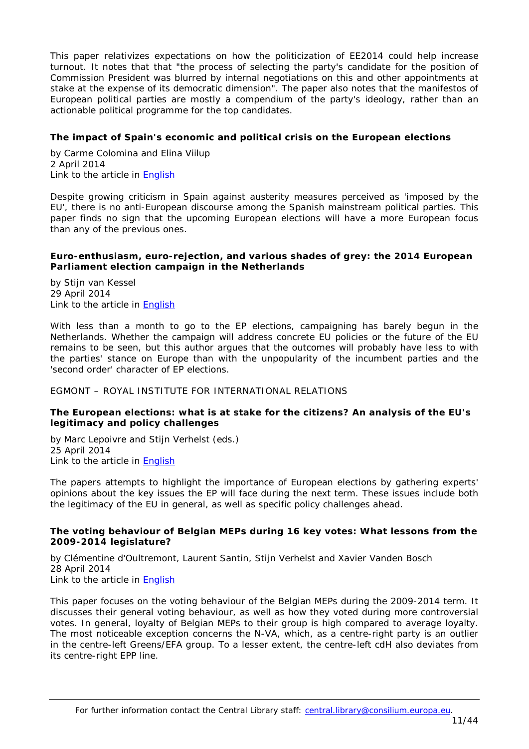This paper relativizes expectations on how the politicization of EE2014 could help increase turnout. It notes that that "the process of selecting the party's candidate for the position of Commission President was blurred by internal negotiations on this and other appointments at stake at the expense of its democratic dimension". The paper also notes that the manifestos of European political parties are mostly a compendium of the party's ideology, rather than an actionable political programme for the top candidates.

# <span id="page-10-0"></span>**The impact of Spain's economic and political crisis on the European elections**

by Carme Colomina and Elina Viilup 2 April 2014 Link to the article in [English](http://www.ceps.be/ceps/dld/9138/pdf)

Despite growing criticism in Spain against austerity measures perceived as 'imposed by the EU', there is no anti-European discourse among the Spanish mainstream political parties. This paper finds no sign that the upcoming European elections will have a more European focus than any of the previous ones.

## <span id="page-10-1"></span>**Euro-enthusiasm, euro-rejection, and various shades of grey: the 2014 European Parliament election campaign in the Netherlands**

by Stijn van Kessel 29 April 2014 Link to the article in [English](http://www.ceps.be/ceps/dld/9216/pdf)

With less than a month to go to the EP elections, campaigning has barely begun in the Netherlands. Whether the campaign will address concrete EU policies or the future of the EU remains to be seen, but this author argues that the outcomes will probably have less to with the parties' stance on Europe than with the unpopularity of the incumbent parties and the 'second order' character of EP elections.

<span id="page-10-2"></span>EGMONT – ROYAL INSTITUTE FOR INTERNATIONAL RELATIONS

# <span id="page-10-3"></span>**The European elections: what is at stake for the citizens? An analysis of the EU's legitimacy and policy challenges**

by Marc Lepoivre and Stiin Verhelst (eds.) 25 April 2014 Link to the article in [English](http://www.egmontinstitute.be/wp-content/uploads/2014/04/140425-Book-European-elections-citizen.pdf)

The papers attempts to highlight the importance of European elections by gathering experts' opinions about the key issues the EP will face during the next term. These issues include both the legitimacy of the EU in general, as well as specific policy challenges ahead.

# <span id="page-10-4"></span>**The voting behaviour of Belgian MEPs during 16 key votes: What lessons from the 2009-2014 legislature?**

by [Clémentine d'Oultremont,](http://www.egmontinstitute.be/expert-author/clementine-doultremont/) [Laurent Santin,](http://www.egmontinstitute.be/expert-author/laurent-santin/) [Stijn Verhelst](http://www.egmontinstitute.be/expert-author/stijn-verhelst/) and [Xavier Vanden Bosch](http://www.egmontinstitute.be/expert-author/xavier-vanden-bosch/) 28 April 2014 Link to the article in [English](http://www.egmontinstitute.be/wp-content/uploads/2014/04/Voting-Behaviour-of-Belgian-MEPs-during-16-Key-Votes.pdf)

This paper focuses on the voting behaviour of the Belgian MEPs during the 2009-2014 term. It discusses their general voting behaviour, as well as how they voted during more controversial votes. In general, loyalty of Belgian MEPs to their group is high compared to average loyalty. The most noticeable exception concerns the N-VA, which, as a centre-right party is an outlier in the centre-left Greens/EFA group. To a lesser extent, the centre-left cdH also deviates from its centre-right EPP line.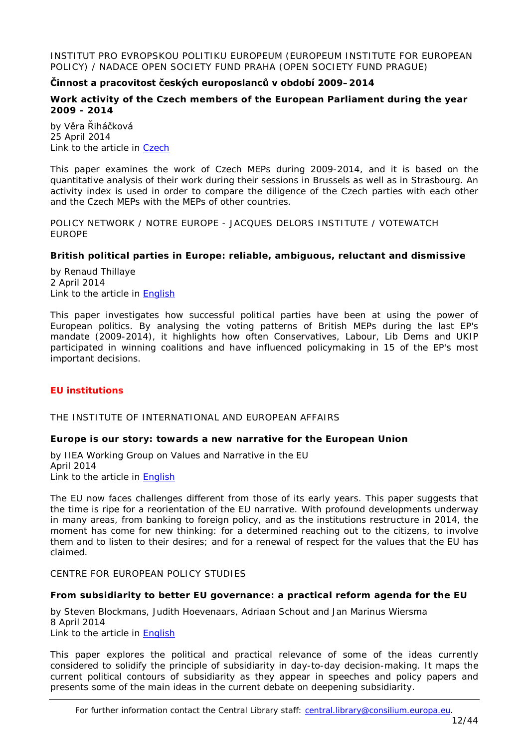<span id="page-11-0"></span>INSTITUT PRO EVROPSKOU POLITIKU EUROPEUM (EUROPEUM INSTITUTE FOR EUROPEAN POLICY) / NADACE OPEN SOCIETY FUND PRAHA (OPEN SOCIETY FUND PRAGUE)

# **Činnost a pracovitost českých europoslanců v období 2009–2014**

## <span id="page-11-1"></span>*[Work activity of the Czech members of the European Parliament during the year](http://www.europeum.org/en/eu-politics-and-institutions/107-analyses-articles-comments/2171-analysis-work-activity-of-the-czech-members-of-the-european-parliament-during-the-year-2009-2014)  [2009 -](http://www.europeum.org/en/eu-politics-and-institutions/107-analyses-articles-comments/2171-analysis-work-activity-of-the-czech-members-of-the-european-parliament-during-the-year-2009-2014) 2014*

by Věra Řiháčková 25 April 2014 Link to the article in [Czech](http://www.osf.cz/images/stories/novinky/innost_a_pracovitost_eskch_europoslanc_v_obdob_2009-2014.pdf)

This paper examines the work of Czech MEPs during 2009-2014, and it is based on the quantitative analysis of their work during their sessions in Brussels as well as in Strasbourg. An activity index is used in order to compare the diligence of the Czech parties with each other and the Czech MEPs with the MEPs of other countries.

<span id="page-11-2"></span>POLICY NETWORK / NOTRE EUROPE - JACQUES DELORS INSTITUTE / VOTEWATCH EUROPE

# <span id="page-11-3"></span>**British political parties in Europe: reliable, ambiguous, reluctant and dismissive**

by Renaud Thillaye 2 April 2014 Link to the article in [English](http://www.policy-network.net/publications_download.aspx?ID=8870)

This paper investigates how successful political parties have been at using the power of European politics. By analysing the voting patterns of British MEPs during the last EP's mandate (2009-2014), it highlights how often Conservatives, Labour, Lib Dems and UKIP participated in winning coalitions and have influenced policymaking in 15 of the EP's most important decisions.

## <span id="page-11-4"></span>*EU institutions*

<span id="page-11-5"></span>THE INSTITUTE OF INTERNATIONAL AND EUROPEAN AFFAIRS

## <span id="page-11-6"></span>**Europe is our story: towards a new narrative for the European Union**

by IIEA Working Group on Values and Narrative in the EU April 2014 Link to the article in **English** 

The EU now faces challenges different from those of its early years. This paper suggests that the time is ripe for a reorientation of the EU narrative. With profound developments underway in many areas, from banking to foreign policy, and as the institutions restructure in 2014, the moment has come for new thinking: for a determined reaching out to the citizens, to involve them and to listen to their desires; and for a renewal of respect for the values that the EU has claimed.

#### <span id="page-11-7"></span>CENTRE FOR EUROPEAN POLICY STUDIES

#### <span id="page-11-8"></span>**From subsidiarity to better EU governance: a practical reform agenda for the EU**

by Steven Blockmans, Judith Hoevenaars, Adriaan Schout and Jan Marinus Wiersma 8 April 2014 Link to the article in [English](http://www.ceps.be/ceps/dld/9149/pdf)

This paper explores the political and practical relevance of some of the ideas currently considered to solidify the principle of subsidiarity in day-to-day decision-making. It maps the current political contours of subsidiarity as they appear in speeches and policy papers and presents some of the main ideas in the current debate on deepening subsidiarity.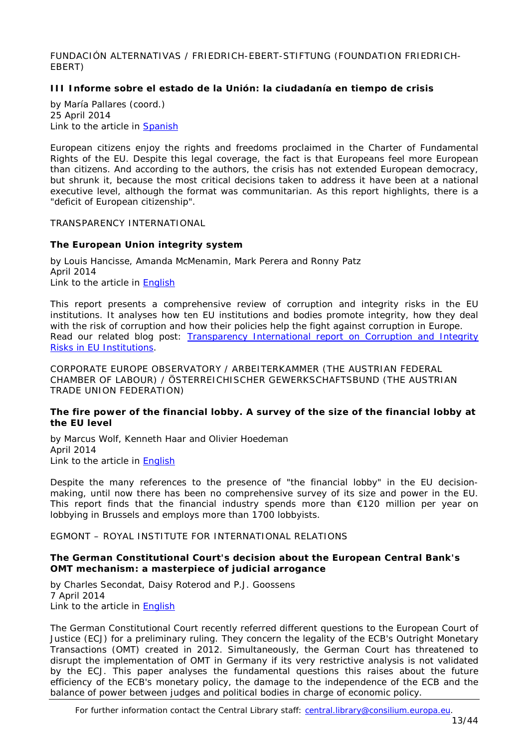<span id="page-12-0"></span>FUNDACIÓN ALTERNATIVAS / FRIEDRICH-EBERT-STIFTUNG (FOUNDATION FRIEDRICH-EBERT)

# <span id="page-12-1"></span>**III Informe sobre el estado de la Unión: la ciudadanía en tiempo de crisis**

by María Pallares (coord.) 25 April 2014 Link to the article in **Spanish** 

European citizens enjoy the rights and freedoms proclaimed in the Charter of Fundamental Rights of the EU. Despite this legal coverage, the fact is that Europeans feel more European than citizens. And according to the authors, the crisis has not extended European democracy, but shrunk it, because the most critical decisions taken to address it have been at a national executive level, although the format was communitarian. As this report highlights, there is a "deficit of European citizenship".

<span id="page-12-2"></span>TRANSPARENCY INTERNATIONAL

# <span id="page-12-3"></span>**The European Union integrity system**

by Louis Hancisse, Amanda McMenamin, Mark Perera and Ronny Patz April 2014 Link to the article in [English](http://www.transparencyinternational.eu/wp-content/uploads/2014/04/EU_Integrity_System_Report.pdf)

This report presents a comprehensive review of corruption and integrity risks in the EU institutions. It analyses how ten EU institutions and bodies promote integrity, how they deal with the risk of corruption and how their policies help the fight against corruption in Europe. *Read our related blog post: [Transparency International report on Corruption and Integrity](http://councillibrary.wordpress.com/2014/04/25/transparency-international-report-on-corruption-and-integrity-risks-in-eu-institutions/)  [Risks in EU Institutions.](http://councillibrary.wordpress.com/2014/04/25/transparency-international-report-on-corruption-and-integrity-risks-in-eu-institutions/)*

<span id="page-12-4"></span>CORPORATE EUROPE OBSERVATORY / ARBEITERKAMMER (THE AUSTRIAN FEDERAL CHAMBER OF LABOUR) / ÖSTERREICHISCHER GEWERKSCHAFTSBUND (THE AUSTRIAN TRADE UNION FEDERATION)

## <span id="page-12-5"></span>**The fire power of the financial lobby. A survey of the size of the financial lobby at the EU level**

by Marcus Wolf, Kenneth Haar and Olivier Hoedeman April 2014 Link to the article in **English** 

Despite the many references to the presence of "the financial lobby" in the EU decisionmaking, until now there has been no comprehensive survey of its size and power in the EU. This report finds that the financial industry spends more than  $\epsilon$ 120 million per year on lobbying in Brussels and employs more than 1700 lobbyists.

<span id="page-12-6"></span>EGMONT – ROYAL INSTITUTE FOR INTERNATIONAL RELATIONS

#### <span id="page-12-7"></span>**The German Constitutional Court's decision about the European Central Bank's OMT mechanism: a masterpiece of judicial arrogance**

by [Charles Secondat,](http://www.egmontinstitute.be/expert-author/charles-secondat/) [Daisy Roterod](http://www.egmontinstitute.be/expert-author/daisy-roterod/) and [P.J. Goossens](http://www.egmontinstitute.be/expert-author/p-j-goossens/) 7 April 2014 Link to the article in **English** 

The German Constitutional Court recently referred different questions to the European Court of Justice (ECJ) for a preliminary ruling. They concern the legality of the ECB's Outright Monetary Transactions (OMT) created in 2012. Simultaneously, the German Court has threatened to disrupt the implementation of OMT in Germany if its very restrictive analysis is not validated by the ECJ. This paper analyses the fundamental questions this raises about the future efficiency of the ECB's monetary policy, the damage to the independence of the ECB and the balance of power between judges and political bodies in charge of economic policy.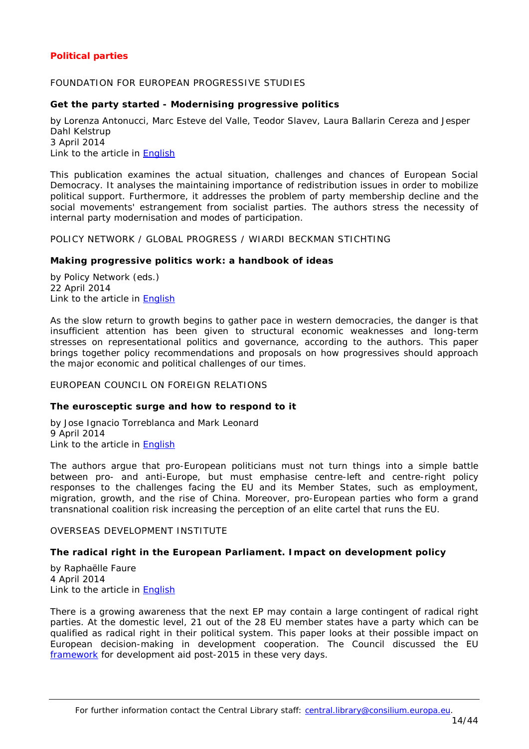# <span id="page-13-0"></span>*Political parties*

## <span id="page-13-1"></span>FOUNDATION FOR EUROPEAN PROGRESSIVE STUDIES

#### <span id="page-13-2"></span>**Get the party started - Modernising progressive politics**

by Lorenza Antonucci, Marc Esteve del Valle, Teodor Slavev, Laura Ballarin Cereza and Jesper Dahl Kelstrup 3 April 2014

Link to the article in [English](http://www.feps-europe.eu/assets/a93d7b8d-9664-414c-957a-c58befef070a/wg_getthepartystarted.pdf)

This publication examines the actual situation, challenges and chances of European Social Democracy. It analyses the maintaining importance of redistribution issues in order to mobilize political support. Furthermore, it addresses the problem of party membership decline and the social movements' estrangement from socialist parties. The authors stress the necessity of internal party modernisation and modes of participation.

<span id="page-13-3"></span>POLICY NETWORK / GLOBAL PROGRESS / WIARDI BECKMAN STICHTING

#### <span id="page-13-4"></span>**Making progressive politics work: a handbook of ideas**

by Policy Network (eds.) 22 April 2014 Link to the article in [English](http://www.policy-network.net/publications/4624/Making-Progressive-Politics-Work)

As the slow return to growth begins to gather pace in western democracies, the danger is that insufficient attention has been given to structural economic weaknesses and long-term stresses on representational politics and governance, according to the authors. This paper brings together policy recommendations and proposals on how progressives should approach the major economic and political challenges of our times.

#### <span id="page-13-5"></span>EUROPEAN COUNCIL ON FOREIGN RELATIONS

#### <span id="page-13-6"></span>**The eurosceptic surge and how to respond to it**

by Jose Ignacio Torreblanca and Mark Leonard 9 April 2014 Link to the article in [English](http://ecfr.eu/page/-/ECFR98_EUROSCEPTIC_BRIEF_AW_(4).pdf)

The authors argue that pro-European politicians must not turn things into a simple battle between pro- and anti-Europe, but must emphasise centre-left and centre-right policy responses to the challenges facing the EU and its Member States, such as employment, migration, growth, and the rise of China. Moreover, pro-European parties who form a grand transnational coalition risk increasing the perception of an elite cartel that runs the EU.

#### <span id="page-13-7"></span>OVERSEAS DEVELOPMENT INSTITUTE

## <span id="page-13-8"></span>**The radical right in the European Parliament. Impact on development policy**

by Raphaëlle Faure 4 April 2014 Link to the article in [English](http://www.odi.org.uk/sites/odi.org.uk/files/odi-assets/publications-opinion-files/8896.pdf)

There is a growing awareness that the next EP may contain a large contingent of radical right parties. At the domestic level, 21 out of the 28 EU member states have a party which can be qualified as radical right in their political system. This paper looks at their possible impact on European decision-making in development cooperation. The Council discussed the EU [framework](http://www.consilium.europa.eu/homepage/highlights/council-discussed-eus-post-2015-development-framework?lang=fr) for development aid post-2015 in these very days.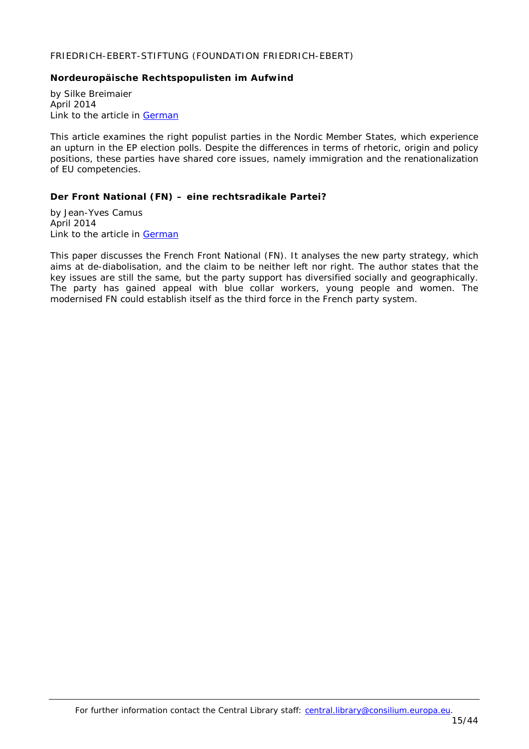## <span id="page-14-0"></span>FRIEDRICH-EBERT-STIFTUNG (FOUNDATION FRIEDRICH-EBERT)

# <span id="page-14-1"></span>**Nordeuropäische Rechtspopulisten im Aufwind**

by Silke Breimaier April 2014 Link to the article in [German](http://library.fes.de/pdf-files/id/10699.pdf)

This article examines the right populist parties in the Nordic Member States, which experience an upturn in the EP election polls. Despite the differences in terms of rhetoric, origin and policy positions, these parties have shared core issues, namely immigration and the renationalization of EU competencies.

# <span id="page-14-2"></span>**Der Front National (FN) – eine rechtsradikale Partei?**

by Jean-Yves Camus April 2014 Link to the article in [German](http://library.fes.de/pdf-files/id/10640.pdf)

This paper discusses the French *Front National* (FN). It analyses the new party strategy, which aims at de-diabolisation, and the claim to be neither left nor right. The author states that the key issues are still the same, but the party support has diversified socially and geographically. The party has gained appeal with blue collar workers, young people and women. The modernised FN could establish itself as the third force in the French party system.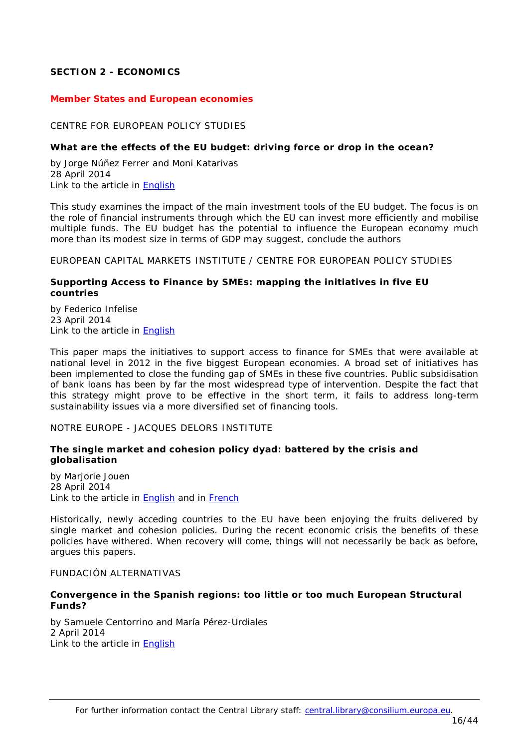# <span id="page-15-0"></span>**SECTION 2 - ECONOMICS**

#### <span id="page-15-1"></span>*Member States and European economies*

#### <span id="page-15-2"></span>CENTRE FOR EUROPEAN POLICY STUDIES

#### <span id="page-15-3"></span>**What are the effects of the EU budget: driving force or drop in the ocean?**

by Jorge Núñez Ferrer and Moni Katarivas 28 April 2014 Link to the article in [English](http://www.ceps.be/ceps/dld/9197/pdf)

This study examines the impact of the main investment tools of the EU budget. The focus is on the role of financial instruments through which the EU can invest more efficiently and mobilise multiple funds. The EU budget has the potential to influence the European economy much more than its modest size in terms of GDP may suggest, conclude the authors

<span id="page-15-4"></span>EUROPEAN CAPITAL MARKETS INSTITUTE / CENTRE FOR EUROPEAN POLICY STUDIES

#### <span id="page-15-5"></span>**Supporting Access to Finance by SMEs: mapping the initiatives in five EU countries**

by Federico Infelise 23 April 2014 Link to the article in [English](http://www.ceps.be/ceps/dld/9188/pdf)

This paper maps the initiatives to support access to finance for SMEs that were available at national level in 2012 in the five biggest European economies. A broad set of initiatives has been implemented to close the funding gap of SMEs in these five countries. Public subsidisation of bank loans has been by far the most widespread type of intervention. Despite the fact that this strategy might prove to be effective in the short term, it fails to address long-term sustainability issues via a more diversified set of financing tools.

<span id="page-15-6"></span>NOTRE EUROPE - JACQUES DELORS INSTITUTE

#### <span id="page-15-7"></span>**The single market and cohesion policy dyad: battered by the crisis and globalisation**

by Marjorie Jouen 28 April 2014 Link to the article in [English](http://www.notre-europe.eu/media/singlemarketandcohesionpolicy-jouen-ne-jdi-apr14.pdf?pdf=ok) and in [French](http://www.notre-europe.eu/media/marchuniquepolitiquecohesionmjouenne-ijdavr2014.pdf)

Historically, newly acceding countries to the EU have been enjoying the fruits delivered by single market and cohesion policies. During the recent economic crisis the benefits of these policies have withered. When recovery will come, things will not necessarily be back as before, argues this papers.

#### <span id="page-15-8"></span>FUNDACIÓN ALTERNATIVAS

## <span id="page-15-9"></span>**Convergence in the Spanish regions: too little or too much European Structural Funds?**

by Samuele Centorrino and María Pérez-Urdiales 2 April 2014 Link to the article in [English](http://www.falternativas.org/content/download/21641/541712/version/3/file/Centorrino%2CPerez-Urdiales_March2014.pdf)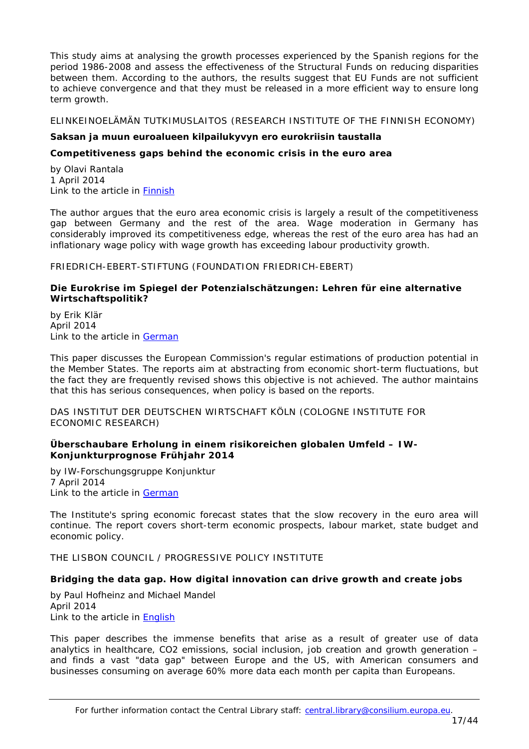This study aims at analysing the growth processes experienced by the Spanish regions for the period 1986-2008 and assess the effectiveness of the Structural Funds on reducing disparities between them. According to the authors, the results suggest that EU Funds are not sufficient to achieve convergence and that they must be released in a more efficient way to ensure long term growth.

<span id="page-16-0"></span>ELINKEINOELÄMÄN TUTKIMUSLAITOS (RESEARCH INSTITUTE OF THE FINNISH ECONOMY)

# **Saksan ja muun euroalueen kilpailukyvyn ero eurokriisin taustalla**

## <span id="page-16-1"></span>*Competitiveness gaps behind the economic crisis in the euro area*

by Olavi Rantala 1 April 2014 Link to the article in [Finnish](http://www.etla.fi/wp-content/uploads/ETLA-Raportit-Reports-23.pdf)

The author argues that the euro area economic crisis is largely a result of the competitiveness gap between Germany and the rest of the area. Wage moderation in Germany has considerably improved its competitiveness edge, whereas the rest of the euro area has had an inflationary wage policy with wage growth has exceeding labour productivity growth.

<span id="page-16-2"></span>FRIEDRICH-EBERT-STIFTUNG (FOUNDATION FRIEDRICH-EBERT)

## <span id="page-16-3"></span>**Die Eurokrise im Spiegel der Potenzialschätzungen: Lehren für eine alternative Wirtschaftspolitik?**

by Erik Klär April 2014 Link to the article in [German](http://library.fes.de/pdf-files/wiso/10710.pdf)

This paper discusses the European Commission's regular estimations of production potential in the Member States. The reports aim at abstracting from economic short-term fluctuations, but the fact they are frequently revised shows this objective is not achieved. The author maintains that this has serious consequences, when policy is based on the reports.

<span id="page-16-4"></span>DAS INSTITUT DER DEUTSCHEN WIRTSCHAFT KÖLN (COLOGNE INSTITUTE FOR ECONOMIC RESEARCH)

## <span id="page-16-5"></span>**Überschaubare Erholung in einem risikoreichen globalen Umfeld – IW-Konjunkturprognose Frühjahr 2014**

by IW-Forschungsgruppe Konjunktur 7 April 2014 Link to the article in [German](http://www.etracker.de/lnkcnt.php?et=lKbSM9&url=http%3A%2F%2Fwww.iwkoeln.de%2F_storage%2Fasset%2F161398%2Fstorage%2Fmaster%2Ffile%2F4399647%2Fdownload%2FTR-1-2014-Prognose.pdf&lnkname=TR-1-2014-Prognose.pdf)

The Institute's spring economic forecast states that the slow recovery in the euro area will continue. The report covers short-term economic prospects, labour market, state budget and economic policy.

<span id="page-16-6"></span>THE LISBON COUNCIL / PROGRESSIVE POLICY INSTITUTE

## <span id="page-16-7"></span>**Bridging the data gap. How digital innovation can drive growth and create jobs**

by Paul Hofheinz and Michael Mandel April 2014 Link to the article in [English](http://www.lisboncouncil.net/index.php?option=com_downloads&id=1008)

This paper describes the immense benefits that arise as a result of greater use of data analytics in healthcare, CO2 emissions, social inclusion, job creation and growth generation – and finds a vast "data gap" between Europe and the US, with American consumers and businesses consuming on average 60% more data each month per capita than Europeans.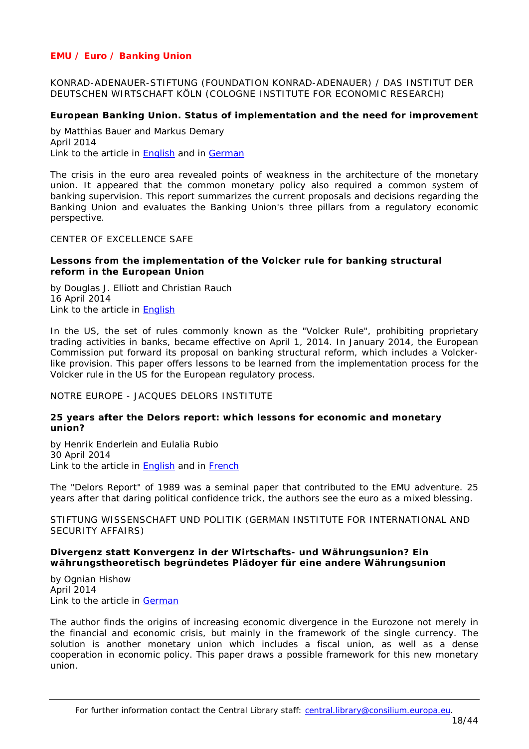# <span id="page-17-0"></span>*EMU / Euro / Banking Union*

<span id="page-17-1"></span>KONRAD-ADENAUER-STIFTUNG (FOUNDATION KONRAD-ADENAUER) / DAS INSTITUT DER DEUTSCHEN WIRTSCHAFT KÖLN (COLOGNE INSTITUTE FOR ECONOMIC RESEARCH)

# <span id="page-17-2"></span>**European Banking Union. Status of implementation and the need for improvement**

by Matthias Bauer and Markus Demary April 2014 Link to the article in [English](http://www.kas.de/wf/doc/kas_37540-544-2-30.pdf) and in [German](http://www.kas.de/wf/doc/kas_37540-544-1-30.pdf)

The crisis in the euro area revealed points of weakness in the architecture of the monetary union. It appeared that the common monetary policy also required a common system of banking supervision. This report summarizes the current proposals and decisions regarding the Banking Union and evaluates the Banking Union's three pillars from a regulatory economic perspective.

## <span id="page-17-3"></span>CENTER OF EXCELLENCE SAFE

## <span id="page-17-4"></span>**Lessons from the implementation of the Volcker rule for banking structural reform in the European Union**

by Douglas J. Elliott and Christian Rauch 16 April 2014 Link to the article in [English](http://safe-frankfurt.de/uploads/media/Elliott_Rauch_Volcker_Rule_Lessons.pdf)

In the US, the set of rules commonly known as the "Volcker Rule", prohibiting proprietary trading activities in banks, became effective on April 1, 2014. In January 2014, the European Commission put forward its proposal on banking structural reform, which includes a Volckerlike provision. This paper offers lessons to be learned from the implementation process for the Volcker rule in the US for the European regulatory process.

<span id="page-17-5"></span>NOTRE EUROPE - JACQUES DELORS INSTITUTE

## <span id="page-17-6"></span>**25 years after the Delors report: which lessons for economic and monetary union?**

by Henrik Enderlein and Eulalia Rubio 30 April 2014 Link to the article in **English** and in **French** 

The "Delors Report" of 1989 was a seminal paper that contributed to the EMU adventure. 25 years after that daring political confidence trick, the authors see the euro as a mixed blessing.

<span id="page-17-7"></span>STIFTUNG WISSENSCHAFT UND POLITIK (GERMAN INSTITUTE FOR INTERNATIONAL AND SECURITY AFFAIRS)

## <span id="page-17-8"></span>**Divergenz statt Konvergenz in der Wirtschafts- und Währungsunion? Ein währungstheoretisch begründetes Plädoyer für eine andere Währungsunion**

by Ognian Hishow April 2014 Link to the article in [German](http://www.swp-berlin.org/fileadmin/contents/products/studien/2014_S07_hsh.pdf)

The author finds the origins of increasing economic divergence in the Eurozone not merely in the financial and economic crisis, but mainly in the framework of the single currency. The solution is another monetary union which includes a fiscal union, as well as a dense cooperation in economic policy. This paper draws a possible framework for this new monetary union.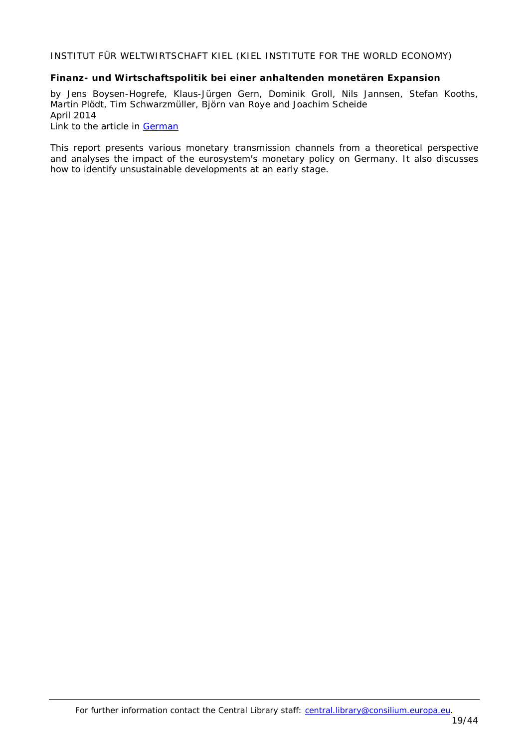<span id="page-18-0"></span>INSTITUT FÜR WELTWIRTSCHAFT KIEL (KIEL INSTITUTE FOR THE WORLD ECONOMY)

## <span id="page-18-1"></span>**Finanz- und Wirtschaftspolitik bei einer anhaltenden monetären Expansion**

by Jens Boysen-Hogrefe, Klaus-Jürgen Gern, Dominik Groll, Nils Jannsen, Stefan Kooths, Martin Plödt, Tim Schwarzmüller, Björn van Roye and Joachim Scheide April 2014 Link to the article in **German** 

This report presents various monetary transmission channels from a theoretical perspective and analyses the impact of the eurosystem's monetary policy on Germany. It also discusses how to identify unsustainable developments at an early stage.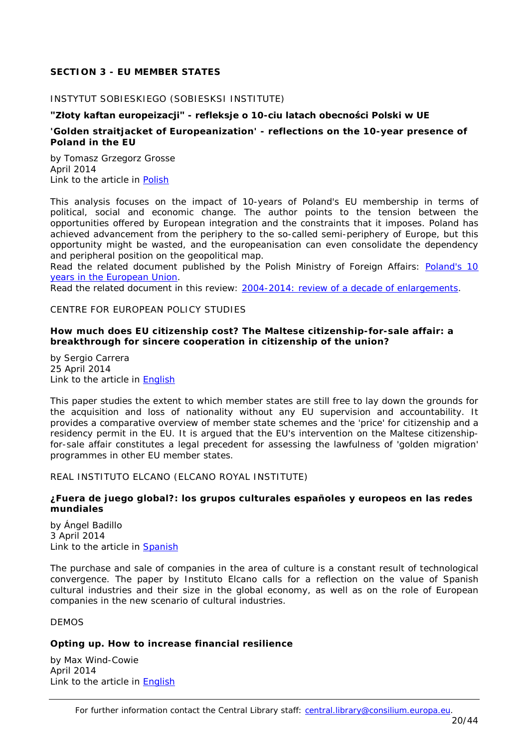# <span id="page-19-0"></span>**SECTION 3 - EU MEMBER STATES**

## <span id="page-19-1"></span>INSTYTUT SOBIESKIEGO (SOBIESKSI INSTITUTE)

# **"Złoty kaftan europeizacji" - refleksje o 10-ciu latach obecności Polski w UE**

# <span id="page-19-2"></span>*'Golden straitjacket of Europeanization' - reflections on the 10-year presence of Poland in the EU*

by Tomasz Grzegorz Grosse April 2014 Link to the article in [Polish](http://www.sobieski.org.pl/wp-content/uploads/R068-2014-IV-Grosse-10-lat-w-UE.pdf)

This analysis focuses on the impact of 10-years of Poland's EU membership in terms of political, social and economic change. The author points to the tension between the opportunities offered by European integration and the constraints that it imposes. Poland has achieved advancement from the periphery to the so-called semi-periphery of Europe, but this opportunity might be wasted, and the europeanisation can even consolidate the dependency and peripheral position on the geopolitical map.

*Read the related document published by the Polish Ministry of Foreign Affairs: [Poland's 10](http://www.msz.gov.pl/resource/ef26c779-74e4-4a0c-aa73-0a9d3c8b695c:JCR)  [years in the European Union.](http://www.msz.gov.pl/resource/ef26c779-74e4-4a0c-aa73-0a9d3c8b695c:JCR)*

<span id="page-19-3"></span>*Read the related document in this review: [2004-2014: review of a decade of enlargements](#page-32-6)*.

# CENTRE FOR EUROPEAN POLICY STUDIES

#### <span id="page-19-4"></span>**How much does EU citizenship cost? The Maltese citizenship-for-sale affair: a breakthrough for sincere cooperation in citizenship of the union?**

by Sergio Carrera 25 April 2014 Link to the article in [English](http://www.ceps.be/ceps/dld/9193/pdf)

This paper studies the extent to which member states are still free to lay down the grounds for the acquisition and loss of nationality without any EU supervision and accountability. It provides a comparative overview of member state schemes and the 'price' for citizenship and a residency permit in the EU. It is argued that the EU's intervention on the Maltese citizenshipfor-sale affair constitutes a legal precedent for assessing the lawfulness of 'golden migration' programmes in other EU member states.

## <span id="page-19-5"></span>REAL INSTITUTO ELCANO (ELCANO ROYAL INSTITUTE)

## <span id="page-19-6"></span>**¿Fuera de juego global?: los grupos culturales españoles y europeos en las redes mundiales**

by Ángel Badillo 3 April 2014 Link to the article in **Spanish** 

The purchase and sale of companies in the area of culture is a constant result of technological convergence. The paper by Instituto Elcano calls for a reflection on the value of Spanish cultural industries and their size in the global economy, as well as on the role of European companies in the new scenario of cultural industries.

<span id="page-19-7"></span>DEMOS

## <span id="page-19-8"></span>**Opting up. How to increase financial resilience**

by Max Wind-Cowie April 2014 Link to the article in [English](http://www.demos.co.uk/files/476_1413_OptingUp_Web_2_.pdf?13971239766)

For further information contact the Central Library staff: central.library@consilium.europa.eu.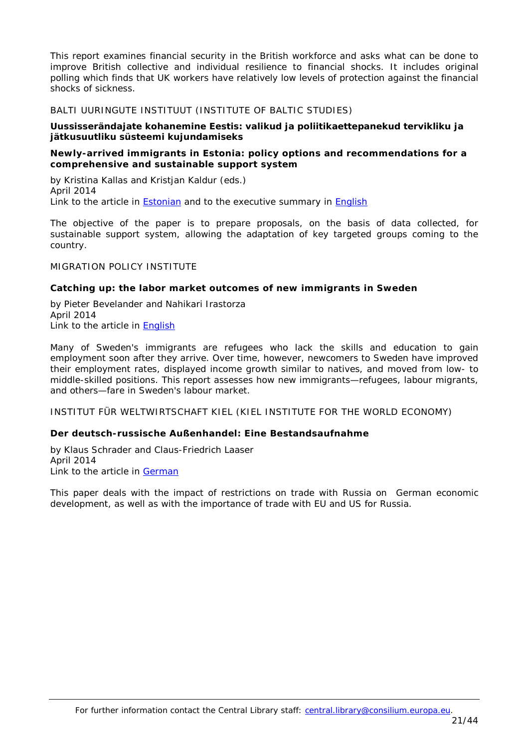This report examines financial security in the British workforce and asks what can be done to improve British collective and individual resilience to financial shocks. It includes original polling which finds that UK workers have relatively low levels of protection against the financial shocks of sickness.

<span id="page-20-0"></span>BALTI UURINGUTE INSTITUUT (INSTITUTE OF BALTIC STUDIES)

## **Uussisserändajate kohanemine Eestis: valikud ja poliitikaettepanekud tervikliku ja jätkusuutliku süsteemi kujundamiseks**

# <span id="page-20-1"></span>*Newly-arrived immigrants in Estonia: policy options and recommendations for a comprehensive and sustainable support system*

by Kristina Kallas and Kristjan Kaldur (eds.) April 2014 Link to the article in [Estonian](http://www.ibs.ee/en/publications/item/download/128_2a5416e988c780074fbdfe5660387729) and to the executive summary in [English](http://www.ibs.ee/en/publications/item/download/131_118e23e2a4738f3f8944d40d738ad7e4)

The objective of the paper is to prepare proposals, on the basis of data collected, for sustainable support system, allowing the adaptation of key targeted groups coming to the country.

<span id="page-20-2"></span>MIGRATION POLICY INSTITUTE

# <span id="page-20-3"></span>**Catching up: the labor market outcomes of new immigrants in Sweden**

by Pieter Bevelander and Nahikari Irastorza April 2014 Link to the article in **English** 

Many of Sweden's immigrants are refugees who lack the skills and education to gain employment soon after they arrive. Over time, however, newcomers to Sweden have improved their employment rates, displayed income growth similar to natives, and moved from low- to middle-skilled positions. This report assesses how new immigrants—refugees, labour migrants, and others—fare in Sweden's labour market.

<span id="page-20-4"></span>INSTITUT FÜR WELTWIRTSCHAFT KIEL (KIEL INSTITUTE FOR THE WORLD ECONOMY)

# <span id="page-20-5"></span>**Der deutsch-russische Außenhandel: Eine Bestandsaufnahme**

by Klaus Schrader and Claus-Friedrich Laaser April 2014 Link to the article in [German](http://www.ifw-kiel.de/wirtschaftspolitik/politikberatung/kiel-policy-brief/kpb-2014/KPB_73.pdf)

This paper deals with the impact of restrictions on trade with Russia on German economic development, as well as with the importance of trade with EU and US for Russia.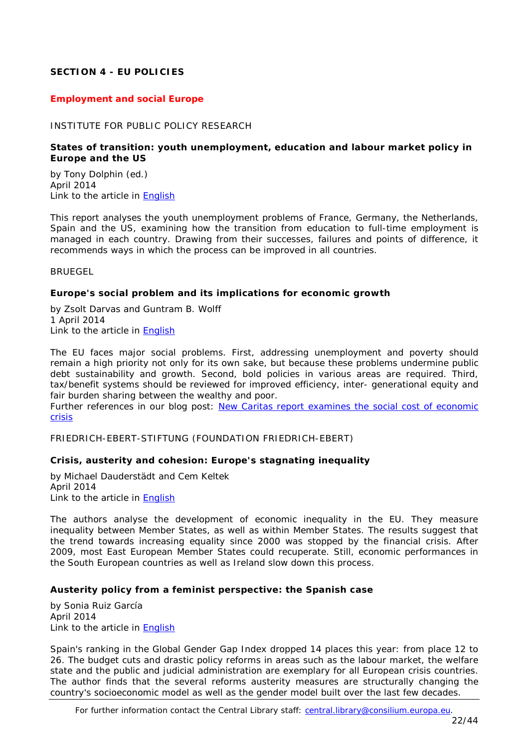# <span id="page-21-0"></span>**SECTION 4 - EU POLICIES**

# <span id="page-21-1"></span>*Employment and social Europe*

## <span id="page-21-2"></span>INSTITUTE FOR PUBLIC POLICY RESEARCH

# <span id="page-21-3"></span>**States of transition: youth unemployment, education and labour market policy in Europe and the US**

by Tony Dolphin (ed.) April 2014 Link to the article in [English](http://www.ippr.org/assets/media/publications/pdf/States-of-transition_Apr-2014.pdf)

This report analyses the youth unemployment problems of France, Germany, the Netherlands, Spain and the US, examining how the transition from education to full-time employment is managed in each country. Drawing from their successes, failures and points of difference, it recommends ways in which the process can be improved in all countries.

<span id="page-21-4"></span>BRUEGEL

## <span id="page-21-5"></span>**Europe's social problem and its implications for economic growth**

by Zsolt Darvas and Guntram B. Wolff 1 April 2014 Link to the article in [English](http://www.bruegel.org/download/parent/823-europes-social-problem-and-its-implications-for-economic-growth/file/1719-europes-social-problem-and-its-implications-for-economic-growth/)

The EU faces major social problems. First, addressing unemployment and poverty should remain a high priority not only for its own sake, but because these problems undermine public debt sustainability and growth. Second, bold policies in various areas are required. Third, tax/benefit systems should be reviewed for improved efficiency, inter- generational equity and fair burden sharing between the wealthy and poor.

*Further references in our blog post: [New Caritas report examines the social cost of economic](http://councillibrary.wordpress.com/2014/04/03/new-caritas-report-examines-the-social-cost-of-economic-crisis/)  [crisis](http://councillibrary.wordpress.com/2014/04/03/new-caritas-report-examines-the-social-cost-of-economic-crisis/)*

<span id="page-21-6"></span>FRIEDRICH-EBERT-STIFTUNG (FOUNDATION FRIEDRICH-EBERT)

## <span id="page-21-7"></span>**Crisis, austerity and cohesion: Europe's stagnating inequality**

by Michael Dauderstädt and Cem Keltek April 2014 Link to the article in [English](http://library.fes.de/pdf-files/id/ipa/10672.pdf)

The authors analyse the development of economic inequality in the EU. They measure inequality between Member States, as well as within Member States. The results suggest that the trend towards increasing equality since 2000 was stopped by the financial crisis. After 2009, most East European Member States could recuperate. Still, economic performances in the South European countries as well as Ireland slow down this process.

## <span id="page-21-8"></span>**Austerity policy from a feminist perspective: the Spanish case**

by Sonia Ruiz García April 2014 Link to the article in [English](http://library.fes.de/pdf-files/id/10701.pdf)

Spain's ranking in the Global Gender Gap Index dropped 14 places this year: from place 12 to 26. The budget cuts and drastic policy reforms in areas such as the labour market, the welfare state and the public and judicial administration are exemplary for all European crisis countries. The author finds that the several reforms austerity measures are structurally changing the country's socioeconomic model as well as the gender model built over the last few decades.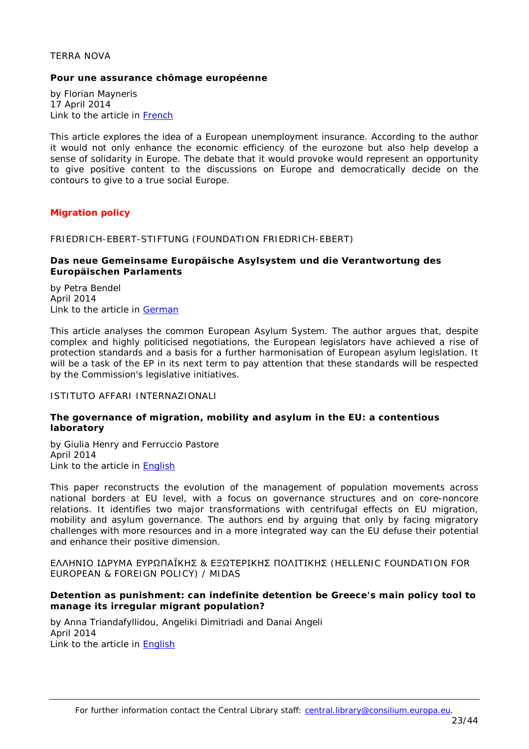#### <span id="page-22-0"></span>TERRA NOVA

#### <span id="page-22-1"></span>**Pour une assurance chômage européenne**

by Florian Mayneris 17 April 2014 Link to the article in [French](http://www.tnova.fr/sites/default/files/17042104%20-%20assurance%20chômage%20européenne_0.pdf)

This article explores the idea of a European unemployment insurance. According to the author it would not only enhance the economic efficiency of the eurozone but also help develop a sense of solidarity in Europe. The debate that it would provoke would represent an opportunity to give positive content to the discussions on Europe and democratically decide on the contours to give to a true social Europe.

## <span id="page-22-2"></span>*Migration policy*

## <span id="page-22-3"></span>FRIEDRICH-EBERT-STIFTUNG (FOUNDATION FRIEDRICH-EBERT)

## <span id="page-22-4"></span>**Das neue Gemeinsame Europäische Asylsystem und die Verantwortung des Europäischen Parlaments**

by Petra Bendel April 2014 Link to the article in [German](http://www.fes.de/cgi-bin/gbv.cgi?id=10703&ty=pdf)

This article analyses the common European Asylum System. The author argues that, despite complex and highly politicised negotiations, the European legislators have achieved a rise of protection standards and a basis for a further harmonisation of European asylum legislation. It will be a task of the EP in its next term to pay attention that these standards will be respected by the Commission's legislative initiatives.

#### <span id="page-22-5"></span>ISTITUTO AFFARI INTERNAZIONALI

## <span id="page-22-6"></span>**The governance of migration, mobility and asylum in the EU: a contentious laboratory**

by Giulia Henry and Ferruccio Pastore April 2014 Link to the article in [English](http://www.iai.it/pdf/ImaginingEurope/ImaginingEurope_05.pdf)

This paper reconstructs the evolution of the management of population movements across national borders at EU level, with a focus on governance structures and on core-noncore relations. It identifies two major transformations with centrifugal effects on EU migration, mobility and asylum governance. The authors end by arguing that only by facing migratory challenges with more resources and in a more integrated way can the EU defuse their potential and enhance their positive dimension.

<span id="page-22-7"></span>ΕΛΛΗΝΙΟ IΔΡΥΜΑ ΕΥΡΩΠΑΪΚΗΣ & ΕΞΩΤΕΡΙΚΗΣ ΠΟΛΙΤΙΚΗΣ (HELLENIC FOUNDATION FOR EUROPEAN & FOREIGN POLICY) / MIDAS

#### <span id="page-22-8"></span>**Detention as punishment: can indefinite detention be Greece's main policy tool to manage its irregular migrant population?**

by Anna Triandafyllidou, Angeliki Dimitriadi and Danai Angeli April 2014 Link to the article in [English](http://www.eliamep.gr/wp-content/uploads/2014/04/Polic-brief-Detention-in-Greece-1.pdf)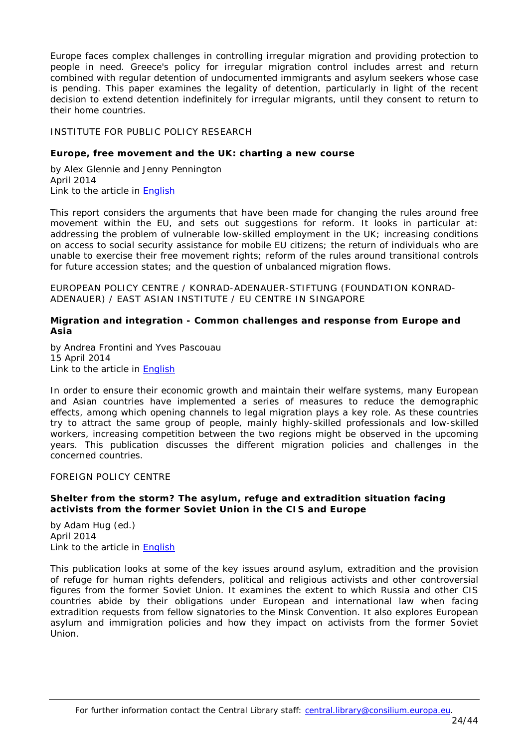Europe faces complex challenges in controlling irregular migration and providing protection to people in need. Greece's policy for irregular migration control includes arrest and return combined with regular detention of undocumented immigrants and asylum seekers whose case is pending. This paper examines the legality of detention, particularly in light of the recent decision to extend detention indefinitely for irregular migrants, until they consent to return to their home countries.

# <span id="page-23-0"></span>INSTITUTE FOR PUBLIC POLICY RESEARCH

# <span id="page-23-1"></span>**Europe, free movement and the UK: charting a new course**

by Alex Glennie and Jenny Pennington April 2014 Link to the article in **English** 

This report considers the arguments that have been made for changing the rules around free movement within the EU, and sets out suggestions for reform. It looks in particular at: addressing the problem of vulnerable low-skilled employment in the UK; increasing conditions on access to social security assistance for mobile EU citizens; the return of individuals who are unable to exercise their free movement rights; reform of the rules around transitional controls for future accession states; and the question of unbalanced migration flows.

<span id="page-23-2"></span>EUROPEAN POLICY CENTRE / KONRAD-ADENAUER-STIFTUNG (FOUNDATION KONRAD-ADENAUER) / EAST ASIAN INSTITUTE / EU CENTRE IN SINGAPORE

## <span id="page-23-3"></span>**Migration and integration - Common challenges and response from Europe and Asia**

by Andrea Frontini and Yves Pascouau 15 April 2014 Link to the article in [English](http://www.epc.eu/documents/uploads/pub_4350_migration_and_integration.pdf)

In order to ensure their economic growth and maintain their welfare systems, many European and Asian countries have implemented a series of measures to reduce the demographic effects, among which opening channels to legal migration plays a key role. As these countries try to attract the same group of people, mainly highly-skilled professionals and low-skilled workers, increasing competition between the two regions might be observed in the upcoming years. This publication discusses the different migration policies and challenges in the concerned countries.

## <span id="page-23-4"></span>FOREIGN POLICY CENTRE

# <span id="page-23-5"></span>**Shelter from the storm? The asylum, refuge and extradition situation facing activists from the former Soviet Union in the CIS and Europe**

by Adam Hug (ed.) April 2014 Link to the article in [English](http://fpc.org.uk/fsblob/1630.pdf)

This publication looks at some of the key issues around asylum, extradition and the provision of refuge for human rights defenders, political and religious activists and other controversial figures from the former Soviet Union. It examines the extent to which Russia and other CIS countries abide by their obligations under European and international law when facing extradition requests from fellow signatories to the Minsk Convention. It also explores European asylum and immigration policies and how they impact on activists from the former Soviet Union.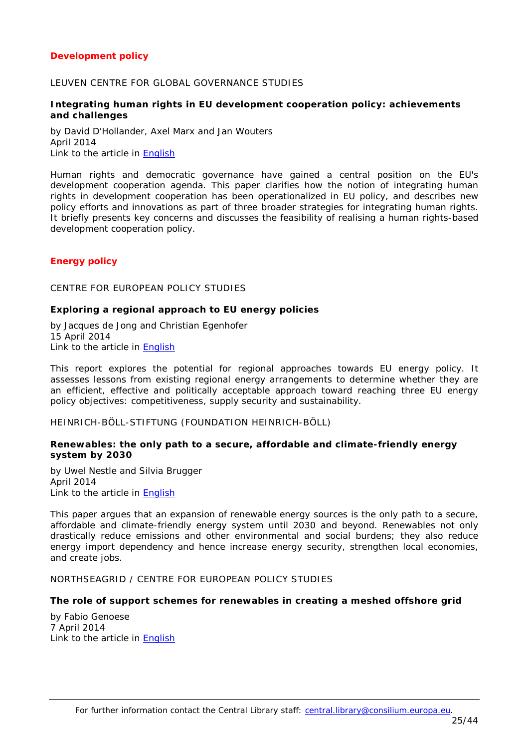# <span id="page-24-0"></span>*Development policy*

#### <span id="page-24-1"></span>LEUVEN CENTRE FOR GLOBAL GOVERNANCE STUDIES

## <span id="page-24-2"></span>**Integrating human rights in EU development cooperation policy: achievements and challenges**

by David D'Hollander, Axel Marx and Jan Wouters April 2014 Link to the article in [English](http://ghum.kuleuven.be/ggs/publications/wp134-dhollander-marx-woutersx.pdf)

Human rights and democratic governance have gained a central position on the EU's development cooperation agenda. This paper clarifies how the notion of integrating human rights in development cooperation has been operationalized in EU policy, and describes new policy efforts and innovations as part of three broader strategies for integrating human rights. It briefly presents key concerns and discusses the feasibility of realising a human rights-based development cooperation policy.

# <span id="page-24-3"></span>*Energy policy*

## <span id="page-24-4"></span>CENTRE FOR EUROPEAN POLICY STUDIES

#### <span id="page-24-5"></span>**Exploring a regional approach to EU energy policies**

by Jacques de Jong and Christian Egenhofer 15 April 2014 Link to the article in [English](http://www.ceps.be/ceps/dld/9178/pdf)

This report explores the potential for regional approaches towards EU energy policy. It assesses lessons from existing regional energy arrangements to determine whether they are an efficient, effective and politically acceptable approach toward reaching three EU energy policy objectives: competitiveness, supply security and sustainability.

#### <span id="page-24-6"></span>HEINRICH-BÖLL-STIFTUNG (FOUNDATION HEINRICH-BÖLL)

## <span id="page-24-7"></span>**Renewables: the only path to a secure, affordable and climate-friendly energy system by 2030**

by Uwel Nestle and Silvia Brugger April 2014 Link to the article in **English** 

This paper argues that an expansion of renewable energy sources is the only path to a secure, affordable and climate-friendly energy system until 2030 and beyond. Renewables not only drastically reduce emissions and other environmental and social burdens; they also reduce energy import dependency and hence increase energy security, strengthen local economies, and create jobs.

<span id="page-24-8"></span>NORTHSEAGRID / CENTRE FOR EUROPEAN POLICY STUDIES

## <span id="page-24-9"></span>**The role of support schemes for renewables in creating a meshed offshore grid**

by Fabio Genoese 7 April 2014 Link to the article in [English](http://www.ceps.be/ceps/dld/9144/pdf)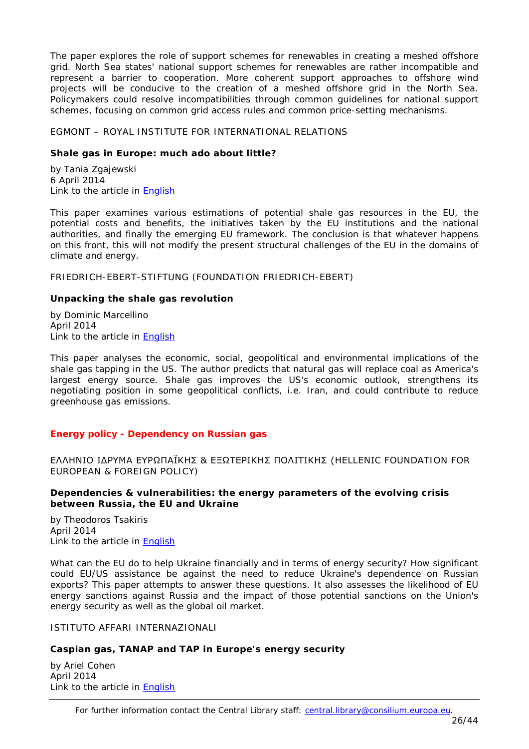The paper explores the role of support schemes for renewables in creating a meshed offshore grid. North Sea states' national support schemes for renewables are rather incompatible and represent a barrier to cooperation. More coherent support approaches to offshore wind projects will be conducive to the creation of a meshed offshore grid in the North Sea. Policymakers could resolve incompatibilities through common guidelines for national support schemes, focusing on common grid access rules and common price-setting mechanisms.

## <span id="page-25-0"></span>EGMONT – ROYAL INSTITUTE FOR INTERNATIONAL RELATIONS

# <span id="page-25-1"></span>**Shale gas in Europe: much ado about little?**

by [Tania Zgajewski](http://www.egmontinstitute.be/expert-author/tania-zgajewski/) 6 April 2014 Link to the article in [English](http://www.egmontinstitute.be/wp-content/uploads/2014/04/ep64.pdf)

This paper examines various estimations of potential shale gas resources in the EU, the potential costs and benefits, the initiatives taken by the EU institutions and the national authorities, and finally the emerging EU framework. The conclusion is that whatever happens on this front, this will not modify the present structural challenges of the EU in the domains of climate and energy.

<span id="page-25-2"></span>FRIEDRICH-EBERT-STIFTUNG (FOUNDATION FRIEDRICH-EBERT)

# <span id="page-25-3"></span>**Unpacking the shale gas revolution**

by Dominic Marcellino April 2014 Link to the article in [English](http://library.fes.de/pdf-files/id/10665.pdf)

This paper analyses the economic, social, geopolitical and environmental implications of the shale gas tapping in the US. The author predicts that natural gas will replace coal as America's largest energy source. Shale gas improves the US's economic outlook, strengthens its negotiating position in some geopolitical conflicts, i.e. Iran, and could contribute to reduce greenhouse gas emissions.

# <span id="page-25-4"></span>*Energy policy - Dependency on Russian gas*

<span id="page-25-5"></span>ΕΛΛΗΝΙΟ IΔΡΥΜΑ ΕΥΡΩΠΑΪΚΗΣ & ΕΞΩΤΕΡΙΚΗΣ ΠΟΛΙΤΙΚΗΣ (HELLENIC FOUNDATION FOR EUROPEAN & FOREIGN POLICY)

# <span id="page-25-6"></span>**Dependencies & vulnerabilities: the energy parameters of the evolving crisis between Russia, the EU and Ukraine**

by Theodoros Tsakiris April 2014 Link to the article in [English](http://www.eliamep.gr/wp-content/uploads/2014/04/43_2014_-WORKING-PAPER-_Theodore-Tsakiris.pdf)

What can the EU do to help Ukraine financially and in terms of energy security? How significant could EU/US assistance be against the need to reduce Ukraine's dependence on Russian exports? This paper attempts to answer these questions. It also assesses the likelihood of EU energy sanctions against Russia and the impact of those potential sanctions on the Union's energy security as well as the global oil market.

# <span id="page-25-7"></span>ISTITUTO AFFARI INTERNAZIONALI

# <span id="page-25-8"></span>**Caspian gas, TANAP and TAP in Europe's energy security**

by Ariel Cohen April 2014 Link to the article in [English](http://www.iai.it/pdf/DocIAI/iaiwp1406.pdf)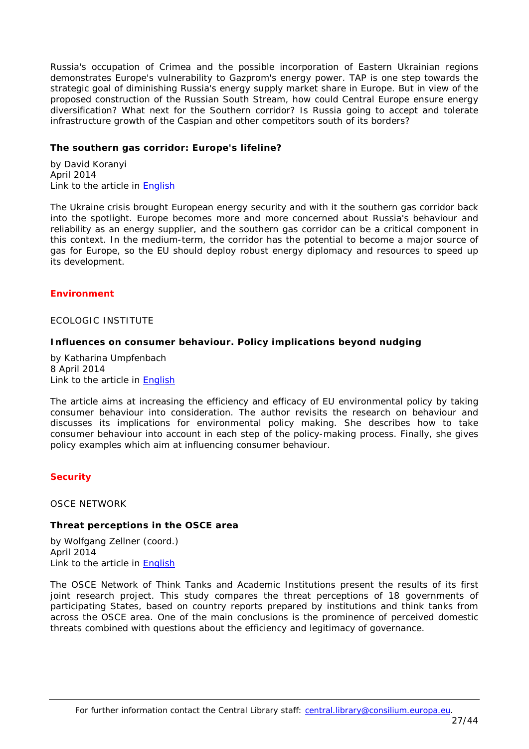Russia's occupation of Crimea and the possible incorporation of Eastern Ukrainian regions demonstrates Europe's vulnerability to Gazprom's energy power. TAP is one step towards the strategic goal of diminishing Russia's energy supply market share in Europe. But in view of the proposed construction of the Russian South Stream, how could Central Europe ensure energy diversification? What next for the Southern corridor? Is Russia going to accept and tolerate infrastructure growth of the Caspian and other competitors south of its borders?

## <span id="page-26-0"></span>**The southern gas corridor: Europe's lifeline?**

by David Koranyi April 2014 Link to the article in [English](http://www.iai.it/pdf/DocIAI/iaiwp1407.pdf)

The Ukraine crisis brought European energy security and with it the southern gas corridor back into the spotlight. Europe becomes more and more concerned about Russia's behaviour and reliability as an energy supplier, and the southern gas corridor can be a critical component in this context. In the medium-term, the corridor has the potential to become a major source of gas for Europe, so the EU should deploy robust energy diplomacy and resources to speed up its development.

## <span id="page-26-1"></span>*Environment*

<span id="page-26-2"></span>ECOLOGIC INSTITUTE

## <span id="page-26-3"></span>**Influences on consumer behaviour. Policy implications beyond nudging**

by Katharina Umpfenbach 8 April 2014 Link to the article in [English](http://ec.europa.eu/environment/enveco/economics_policy/pdf/Behaviour%20Policy%20Brief.pdf)

The article aims at increasing the efficiency and efficacy of EU environmental policy by taking consumer behaviour into consideration. The author revisits the research on behaviour and discusses its implications for environmental policy making. She describes how to take consumer behaviour into account in each step of the policy-making process. Finally, she gives policy examples which aim at influencing consumer behaviour.

## <span id="page-26-4"></span>*Security*

<span id="page-26-5"></span>OSCE NETWORK

## <span id="page-26-6"></span>**Threat perceptions in the OSCE area**

by Wolfgang Zellner (coord.) April 2014 Link to the article in **English** 

The OSCE Network of Think Tanks and Academic Institutions present the results of its first joint research project. This study compares the threat perceptions of 18 governments of participating States, based on country reports prepared by institutions and think tanks from across the OSCE area. One of the main conclusions is the prominence of perceived domestic threats combined with questions about the efficiency and legitimacy of governance.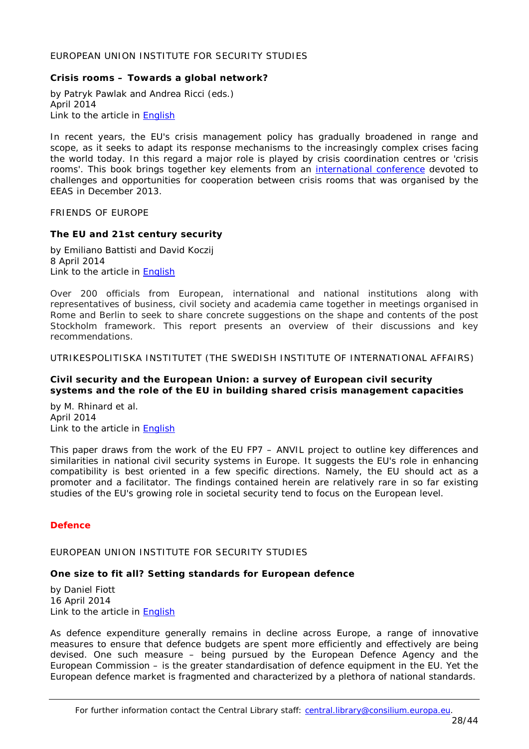#### <span id="page-27-1"></span><span id="page-27-0"></span>**Crisis rooms – Towards a global network?**

by Patryk Pawlak and Andrea Ricci (eds.) April 2014 Link to the article in [English](http://www.iss.europa.eu/uploads/media/Crisis_Rooms.pdf)

In recent years, the EU's crisis management policy has gradually broadened in range and scope, as it seeks to adapt its response mechanisms to the increasingly complex crises facing the world today. In this regard a major role is played by crisis coordination centres or 'crisis rooms'. This book brings together key elements from an [international conference](http://crisisroomsconference.eu/) devoted to challenges and opportunities for cooperation between crisis rooms that was organised by the EEAS in December 2013.

<span id="page-27-2"></span>FRIENDS OF EUROPE

#### <span id="page-27-3"></span>**The EU and 21st century security**

by Emiliano Battisti and David Koczij 8 April 2014 Link to the article in [English](http://www.friendsofeurope.org/Portals/13/Documents/Reports/2014/FoE_Report_21cty%20security_Final_ForWeb.pdf)

Over 200 officials from European, international and national institutions along with representatives of business, civil society and academia came together in meetings organised in Rome and Berlin to seek to share concrete suggestions on the shape and contents of the post Stockholm framework. This report presents an overview of their discussions and key recommendations.

<span id="page-27-4"></span>UTRIKESPOLITISKA INSTITUTET (THE SWEDISH INSTITUTE OF INTERNATIONAL AFFAIRS)

## <span id="page-27-5"></span>**Civil security and the European Union: a survey of European civil security systems and the role of the EU in building shared crisis management capacities**

by M. Rhinard et al. April 2014 Link to the article in **English** 

This paper draws from the work of the EU FP7 – ANVIL project to outline key differences and similarities in national civil security systems in Europe. It suggests the EU's role in enhancing compatibility is best oriented in a few specific directions. Namely, the EU should act as a promoter and a facilitator. The findings contained herein are relatively rare in so far existing studies of the EU's growing role in societal security tend to focus on the European level.

## <span id="page-27-6"></span>*Defence*

<span id="page-27-7"></span>EUROPEAN UNION INSTITUTE FOR SECURITY STUDIES

## <span id="page-27-8"></span>**One size to fit all? Setting standards for European defence**

by Daniel Fiott 16 April 2014 Link to the article in [English](http://www.iss.europa.eu/uploads/media/Brief_13_Defence_standardisation.pdf)

As defence expenditure generally remains in decline across Europe, a range of innovative measures to ensure that defence budgets are spent more efficiently and effectively are being devised. One such measure – being pursued by the European Defence Agency and the European Commission – is the greater standardisation of defence equipment in the EU. Yet the European defence market is fragmented and characterized by a plethora of national standards.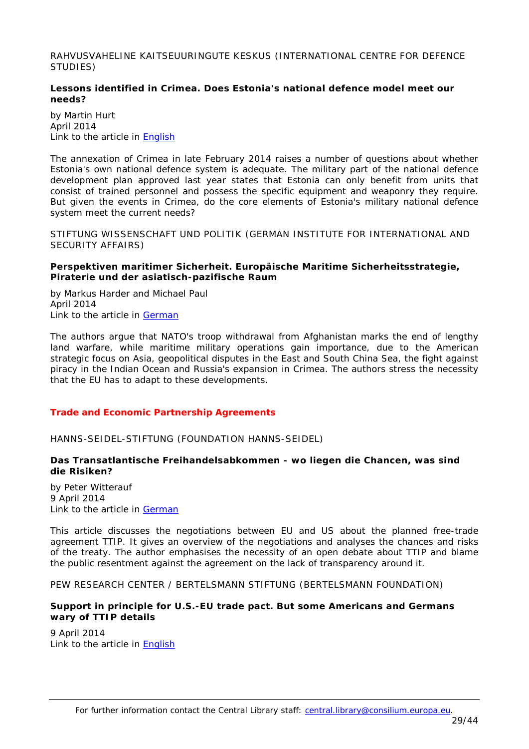<span id="page-28-0"></span>RAHVUSVAHELINE KAITSEUURINGUTE KESKUS (INTERNATIONAL CENTRE FOR DEFENCE STUDIES)

# <span id="page-28-1"></span>**Lessons identified in Crimea. Does Estonia's national defence model meet our needs?**

by Martin Hurt April 2014 Link to the article in [English](http://icds.ee/fileadmin/failid/Martin%20Hurt%20-%20Lessons%20Identified%20in%20Crimea.pdf)

The annexation of Crimea in late February 2014 raises a number of questions about whether Estonia's own national defence system is adequate. The military part of the national defence development plan approved last year states that Estonia can only benefit from units that consist of trained personnel and possess the specific equipment and weaponry they require. But given the events in Crimea, do the core elements of Estonia's military national defence system meet the current needs?

<span id="page-28-2"></span>STIFTUNG WISSENSCHAFT UND POLITIK (GERMAN INSTITUTE FOR INTERNATIONAL AND SECURITY AFFAIRS)

## <span id="page-28-3"></span>**Perspektiven maritimer Sicherheit. Europäische Maritime Sicherheitsstrategie, Piraterie und der asiatisch-pazifische Raum**

by Markus Harder and Michael Paul April 2014 Link to the article in [German](http://www.swp-berlin.org/fileadmin/contents/products/aktuell/2014A20_hae_pau.pdf)

The authors argue that NATO's troop withdrawal from Afghanistan marks the end of lengthy land warfare, while maritime military operations gain importance, due to the American strategic focus on Asia, geopolitical disputes in the East and South China Sea, the fight against piracy in the Indian Ocean and Russia's expansion in Crimea. The authors stress the necessity that the EU has to adapt to these developments.

# <span id="page-28-4"></span>*Trade and Economic Partnership Agreements*

<span id="page-28-5"></span>HANNS-SEIDEL-STIFTUNG (FOUNDATION HANNS-SEIDEL)

# <span id="page-28-6"></span>**Das Transatlantische Freihandelsabkommen - wo liegen die Chancen, was sind die Risiken?**

by Peter Witterauf 9 April 2014 Link to the article in [German](http://www.hss.de/uploads/tx_ddceventsbrowser/Argu_kompakt_2_2014.pdf)

This article discusses the negotiations between EU and US about the planned free-trade agreement TTIP. It gives an overview of the negotiations and analyses the chances and risks of the treaty. The author emphasises the necessity of an open debate about TTIP and blame the public resentment against the agreement on the lack of transparency around it.

<span id="page-28-7"></span>PEW RESEARCH CENTER / BERTELSMANN STIFTUNG (BERTELSMANN FOUNDATION)

## <span id="page-28-8"></span>**Support in principle for U.S.-EU trade pact. But some Americans and Germans wary of TTIP details**

9 April 2014 Link to the article in [English](http://www.pewglobal.org/files/2014/04/Pew-Research-Center-Bertelsmann-Foundation-U.S.-Germany-Trade-Report-FINAL-Wednesday-April-9-2014.pdf)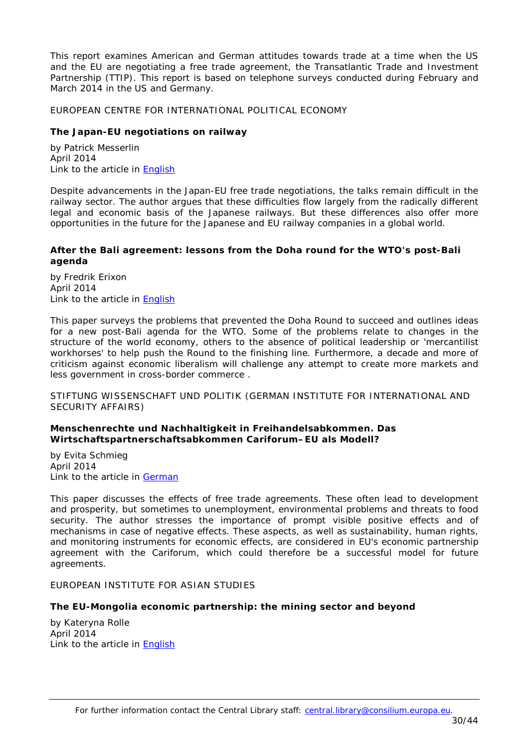This report examines American and German attitudes towards trade at a time when the US and the EU are negotiating a free trade agreement, the Transatlantic Trade and Investment Partnership (TTIP). This report is based on telephone surveys conducted during February and March 2014 in the US and Germany.

<span id="page-29-0"></span>EUROPEAN CENTRE FOR INTERNATIONAL POLITICAL ECONOMY

## <span id="page-29-1"></span>**The Japan-EU negotiations on railway**

by Patrick Messerlin April 2014 Link to the article in [English](http://www.ecipe.org/media/publication_pdfs/PB03.pdf)

Despite advancements in the Japan-EU free trade negotiations, the talks remain difficult in the railway sector. The author argues that these difficulties flow largely from the radically different legal and economic basis of the Japanese railways. But these differences also offer more opportunities in the future for the Japanese and EU railway companies in a global world.

## <span id="page-29-2"></span>**After the Bali agreement: lessons from the Doha round for the WTO's post-Bali agenda**

by Fredrik Erixon April 2014 Link to the article in [English](http://www.ecipe.org/media/publication_pdfs/PB02.pdf)

This paper surveys the problems that prevented the Doha Round to succeed and outlines ideas for a new post-Bali agenda for the WTO. Some of the problems relate to changes in the structure of the world economy, others to the absence of political leadership or 'mercantilist workhorses' to help push the Round to the finishing line. Furthermore, a decade and more of criticism against economic liberalism will challenge any attempt to create more markets and less government in cross-border commerce .

<span id="page-29-3"></span>STIFTUNG WISSENSCHAFT UND POLITIK (GERMAN INSTITUTE FOR INTERNATIONAL AND SECURITY AFFAIRS)

## <span id="page-29-4"></span>**Menschenrechte und Nachhaltigkeit in Freihandelsabkommen. Das Wirtschaftspartnerschaftsabkommen Cariforum–EU als Modell?**

by Evita Schmieg April 2014 Link to the article in [German](http://www.swp-berlin.org/fileadmin/contents/products/aktuell/2014A26_scm.pdf)

This paper discusses the effects of free trade agreements. These often lead to development and prosperity, but sometimes to unemployment, environmental problems and threats to food security. The author stresses the importance of prompt visible positive effects and of mechanisms in case of negative effects. These aspects, as well as sustainability, human rights, and monitoring instruments for economic effects, are considered in EU's economic partnership agreement with the Cariforum, which could therefore be a successful model for future agreements.

## <span id="page-29-5"></span>EUROPEAN INSTITUTE FOR ASIAN STUDIES

## <span id="page-29-6"></span>**The EU-Mongolia economic partnership: the mining sector and beyond**

by [Kateryna Rolle](http://www.eias.org/authors/kateryna-rolle) April 2014 Link to the article in [English](http://www.eias.org/sites/default/files/EIAS_Briefing_Paper_2014-3_Kateryna_Rolle.pdf)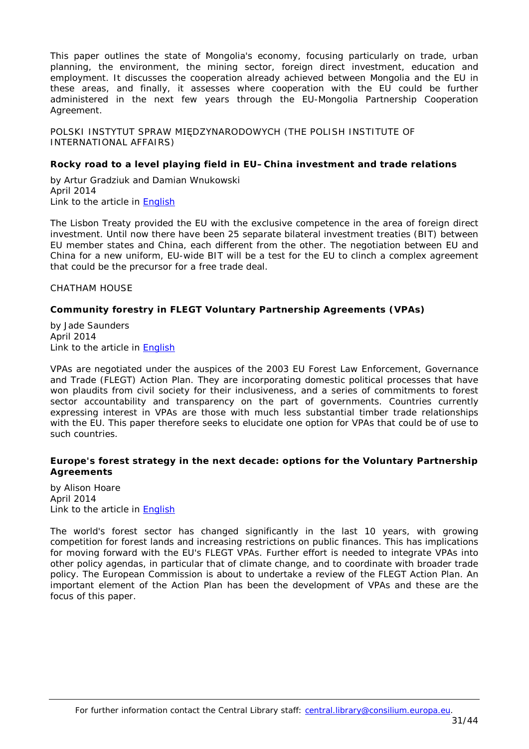This paper outlines the state of Mongolia's economy, focusing particularly on trade, urban planning, the environment, the mining sector, foreign direct investment, education and employment. It discusses the cooperation already achieved between Mongolia and the EU in these areas, and finally, it assesses where cooperation with the EU could be further administered in the next few years through the EU-Mongolia Partnership Cooperation Agreement.

<span id="page-30-0"></span>POLSKI INSTYTUT SPRAW MIĘDZYNARODOWYCH (THE POLISH INSTITUTE OF INTERNATIONAL AFFAIRS)

## <span id="page-30-1"></span>**Rocky road to a level playing field in EU–China investment and trade relations**

by Artur Gradziuk and Damian Wnukowski April 2014 Link to the article in [English](http://www.pism.pl/files/?id_plik=17005)

The Lisbon Treaty provided the EU with the exclusive competence in the area of foreign direct investment. Until now there have been 25 separate bilateral investment treaties (BIT) between EU member states and China, each different from the other. The negotiation between EU and China for a new uniform, EU-wide BIT will be a test for the EU to clinch a complex agreement that could be the precursor for a free trade deal.

<span id="page-30-2"></span>CHATHAM HOUSE

# <span id="page-30-3"></span>**Community forestry in FLEGT Voluntary Partnership Agreements (VPAs)**

by Jade Saunders April 2014 Link to the article in [English](http://www.chathamhouse.org/sites/default/files/home/chatham/public_html/sites/default/files/20140414CommuityForestryFLEGTSaunders.pdf)

VPAs are negotiated under the auspices of the 2003 EU Forest Law Enforcement, Governance and Trade (FLEGT) Action Plan. They are incorporating domestic political processes that have won plaudits from civil society for their inclusiveness, and a series of commitments to forest sector accountability and transparency on the part of governments. Countries currently expressing interest in VPAs are those with much less substantial timber trade relationships with the EU. This paper therefore seeks to elucidate one option for VPAs that could be of use to such countries.

# <span id="page-30-4"></span>**Europe's forest strategy in the next decade: options for the Voluntary Partnership Agreements**

by Alison Hoare April 2014 Link to the article in [English](http://www.chathamhouse.org/sites/default/files/home/chatham/public_html/sites/default/files/20140414Europe)

The world's forest sector has changed significantly in the last 10 years, with growing competition for forest lands and increasing restrictions on public finances. This has implications for moving forward with the EU's FLEGT VPAs. Further effort is needed to integrate VPAs into other policy agendas, in particular that of climate change, and to coordinate with broader trade policy. The European Commission is about to undertake a review of the FLEGT Action Plan. An important element of the Action Plan has been the development of VPAs and these are the focus of this paper.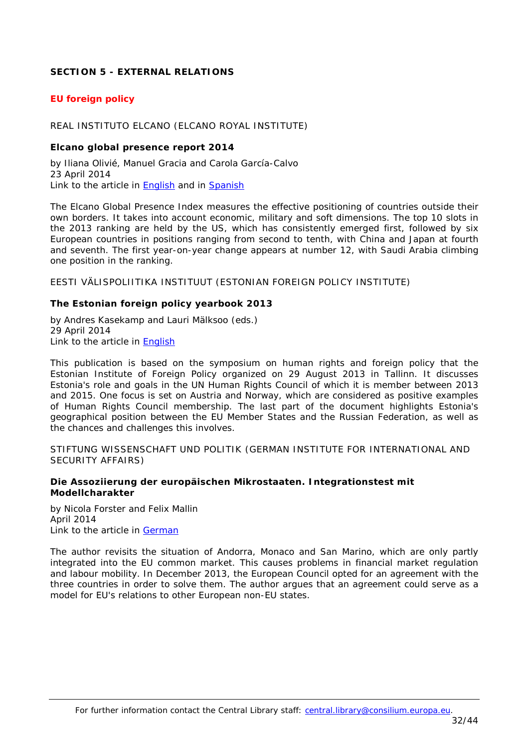# <span id="page-31-0"></span>**SECTION 5 - EXTERNAL RELATIONS**

# <span id="page-31-1"></span>*EU foreign policy*

#### <span id="page-31-2"></span>REAL INSTITUTO ELCANO (ELCANO ROYAL INSTITUTE)

#### <span id="page-31-3"></span>**Elcano global presence report 2014**

by Iliana Olivié, Manuel Gracia and Carola García-Calvo 23 April 2014 Link to the article in [English](http://www.realinstitutoelcano.org/wps/wcm/connect/7dad550043bde17c8f43bff8d447ad6c/Global_Presence_2014.pdf?MOD=AJPERES&CACHEID=7dad550043bde17c8f43bff8d447ad6c) and in [Spanish](http://www.realinstitutoelcano.org/wps/wcm/connect/98fbc00043bdda188ed6bef8d447ad6c/Presencia_Global_2014.pdf?MOD=AJPERES&CACHEID=98fbc00043bdda188ed6bef8d447ad6c)

The Elcano Global Presence Index measures the effective positioning of countries outside their own borders. It takes into account economic, military and soft dimensions. The top 10 slots in the 2013 ranking are held by the US, which has consistently emerged first, followed by six European countries in positions ranging from second to tenth, with China and Japan at fourth and seventh. The first year-on-year change appears at number 12, with Saudi Arabia climbing one position in the ranking.

<span id="page-31-4"></span>EESTI VÄLISPOLIITIKA INSTITUUT (ESTONIAN FOREIGN POLICY INSTITUTE)

#### <span id="page-31-5"></span>**The Estonian foreign policy yearbook 2013**

by Andres Kasekamp and Lauri Mälksoo (eds.) 29 April 2014 Link to the article in [English](http://www.evi.ee/wp-content/uploads/2014/04/aastaraamat-2013.pdf)

This publication is based on the symposium on human rights and foreign policy that the Estonian Institute of Foreign Policy organized on 29 August 2013 in Tallinn. It discusses Estonia's role and goals in the UN Human Rights Council of which it is member between 2013 and 2015. One focus is set on Austria and Norway, which are considered as positive examples of Human Rights Council membership. The last part of the document highlights Estonia's geographical position between the EU Member States and the Russian Federation, as well as the chances and challenges this involves.

<span id="page-31-6"></span>STIFTUNG WISSENSCHAFT UND POLITIK (GERMAN INSTITUTE FOR INTERNATIONAL AND SECURITY AFFAIRS)

#### <span id="page-31-7"></span>**Die Assoziierung der europäischen Mikrostaaten. Integrationstest mit Modellcharakter**

by Nicola Forster and Felix Mallin April 2014 Link to the article in [German](http://www.swp-berlin.org/fileadmin/contents/products/aktuell/2014A21_frr_mln.pdf)

The author revisits the situation of Andorra, Monaco and San Marino, which are only partly integrated into the EU common market. This causes problems in financial market regulation and labour mobility. In December 2013, the European Council opted for an agreement with the three countries in order to solve them. The author argues that an agreement could serve as a model for EU's relations to other European non-EU states.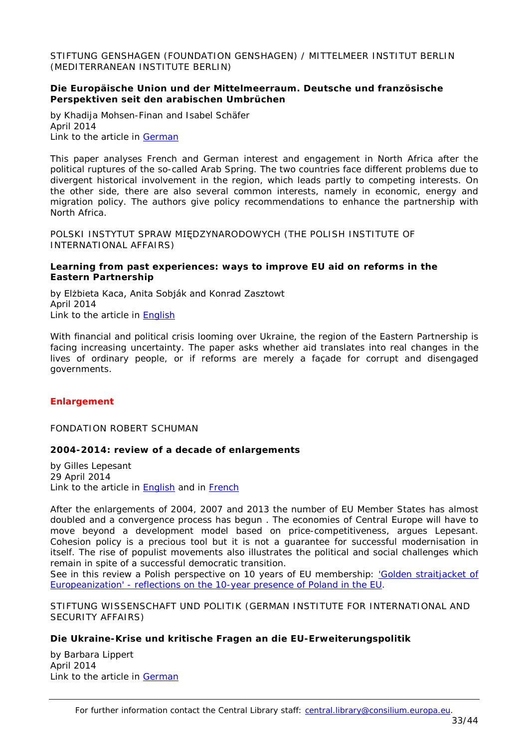<span id="page-32-0"></span>STIFTUNG GENSHAGEN (FOUNDATION GENSHAGEN) / MITTELMEER INSTITUT BERLIN (MEDITERRANEAN INSTITUTE BERLIN)

## <span id="page-32-1"></span>**Die Europäische Union und der Mittelmeerraum. Deutsche und französische Perspektiven seit den arabischen Umbrüchen**

by Khadija Mohsen-Finan and Isabel Schäfer April 2014 Link to the article in [German](http://www.stiftung-genshagen.de/fileadmin/Dateien/Publikationen/Genshagener_Papiere/Genshagener_Papier_N___14_DE.pdf)

This paper analyses French and German interest and engagement in North Africa after the political ruptures of the so-called Arab Spring. The two countries face different problems due to divergent historical involvement in the region, which leads partly to competing interests. On the other side, there are also several common interests, namely in economic, energy and migration policy. The authors give policy recommendations to enhance the partnership with North Africa.

<span id="page-32-2"></span>POLSKI INSTYTUT SPRAW MIĘDZYNARODOWYCH (THE POLISH INSTITUTE OF INTERNATIONAL AFFAIRS)

#### <span id="page-32-3"></span>**Learning from past experiences: ways to improve EU aid on reforms in the Eastern Partnership**

by Elżbieta Kaca, Anita Sobják and Konrad Zasztowt April 2014 Link to the article in [English](http://www.pism.pl/files/?id_plik=17080)

With financial and political crisis looming over Ukraine, the region of the Eastern Partnership is facing increasing uncertainty. The paper asks whether aid translates into real changes in the lives of ordinary people, or if reforms are merely a façade for corrupt and disengaged governments.

# <span id="page-32-4"></span>*Enlargement*

<span id="page-32-5"></span>FONDATION ROBERT SCHUMAN

## <span id="page-32-6"></span>**2004-2014: review of a decade of enlargements**

by Gilles Lepesant 29 April 2014 Link to the article in **English** and in **French** 

After the enlargements of 2004, 2007 and 2013 the number of EU Member States has almost doubled and a convergence process has begun . The economies of Central Europe will have to move beyond a development model based on price-competitiveness, argues Lepesant. Cohesion policy is a precious tool but it is not a guarantee for successful modernisation in itself. The rise of populist movements also illustrates the political and social challenges which remain in spite of a successful democratic transition.

*See in this review a Polish perspective on 10 years of EU membership: ['Golden straitjacket of](#page-19-2)  Europeanization' - [reflections on the 10-year presence of Poland in the EU](#page-19-2)*.

<span id="page-32-7"></span>STIFTUNG WISSENSCHAFT UND POLITIK (GERMAN INSTITUTE FOR INTERNATIONAL AND SECURITY AFFAIRS)

## <span id="page-32-8"></span>**Die Ukraine-Krise und kritische Fragen an die EU-Erweiterungspolitik**

by Barbara Lippert April 2014 Link to the article in [German](http://www.swp-berlin.org/fileadmin/contents/products/aktuell/2014A22_lpt.pdf)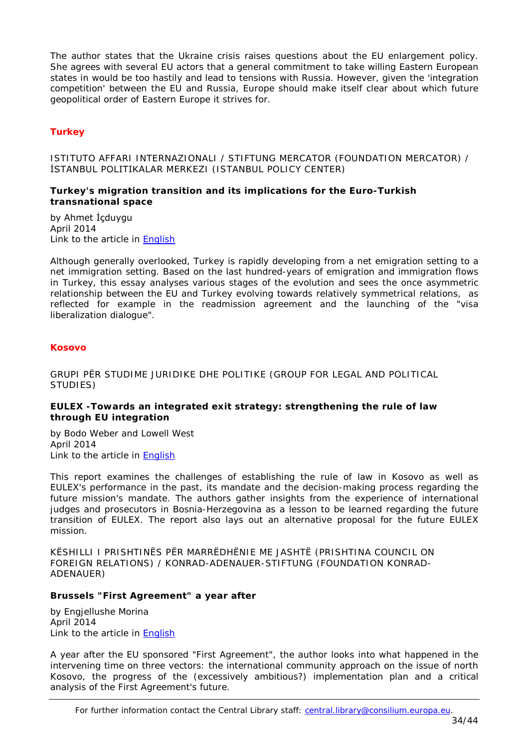The author states that the Ukraine crisis raises questions about the EU enlargement policy. She agrees with several EU actors that a general commitment to take willing Eastern European states in would be too hastily and lead to tensions with Russia. However, given the 'integration competition' between the EU and Russia, Europe should make itself clear about which future geopolitical order of Eastern Europe it strives for.

# <span id="page-33-0"></span>*Turkey*

<span id="page-33-1"></span>ISTITUTO AFFARI INTERNAZIONALI / STIFTUNG MERCATOR (FOUNDATION MERCATOR) / İSTANBUL POLITIKALAR MERKEZI (ISTANBUL POLICY CENTER)

## <span id="page-33-2"></span>**Turkey's migration transition and its implications for the Euro-Turkish transnational space**

by Ahmet İçduygu April 2014 Link to the article in [English](http://www.iai.it/pdf/GTE/GTE_WP_07.pdf)

Although generally overlooked, Turkey is rapidly developing from a net emigration setting to a net immigration setting. Based on the last hundred-years of emigration and immigration flows in Turkey, this essay analyses various stages of the evolution and sees the once asymmetric relationship between the EU and Turkey evolving towards relatively symmetrical relations, as reflected for example in the readmission agreement and the launching of the "visa liberalization dialogue".

## <span id="page-33-3"></span>*Kosovo*

<span id="page-33-4"></span>GRUPI PËR STUDIME JURIDIKE DHE POLITIKE (GROUP FOR LEGAL AND POLITICAL STUDIES)

## <span id="page-33-5"></span>**EULEX -Towards an integrated exit strategy: strengthening the rule of law through EU integration**

by Bodo Weber and Lowell West April 2014 Link to the article in [English](http://legalpoliticalstudies.org/download/Policy%20Report%2005%202014(2).pdf)

This report examines the challenges of establishing the rule of law in Kosovo as well as EULEX's performance in the past, its mandate and the decision-making process regarding the future mission's mandate. The authors gather insights from the experience of international judges and prosecutors in Bosnia-Herzegovina as a lesson to be learned regarding the future transition of EULEX. The report also lays out an alternative proposal for the future EULEX mission.

<span id="page-33-6"></span>KËSHILLI I PRISHTINËS PËR MARRËDHËNIE ME JASHTË (PRISHTINA COUNCIL ON FOREIGN RELATIONS) / KONRAD-ADENAUER-STIFTUNG (FOUNDATION KONRAD-ADENAUER)

#### <span id="page-33-7"></span>**Brussels "First Agreement" a year after**

by Engjellushe Morina April 2014 Link to the article in [English](http://prishtinacouncil.org/wp-content/uploads/2014/04/PolicyBrief-Kosovo-Serbia-Agreement-ENG.pdf)

A year after the EU sponsored "First Agreement", the author looks into what happened in the intervening time on three vectors: the international community approach on the issue of north Kosovo, the progress of the (excessively ambitious?) implementation plan and a critical analysis of the First Agreement's future.

For further information contact the Central Library staff: central.library@consilium.europa.eu.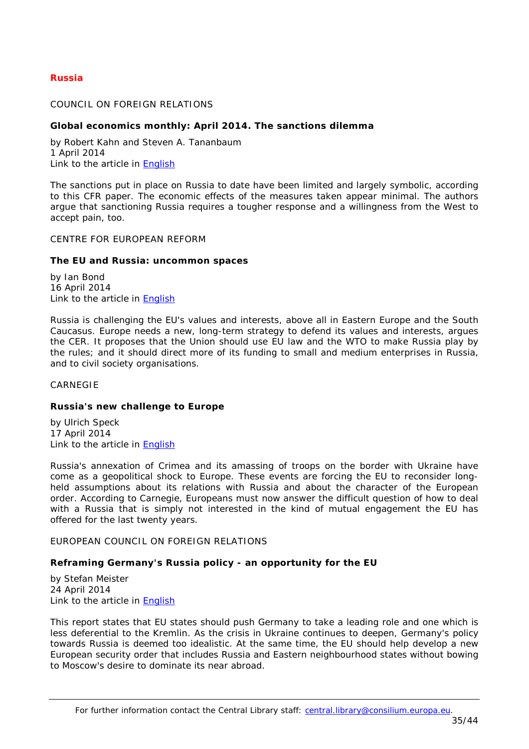# <span id="page-34-0"></span>*Russia*

## <span id="page-34-1"></span>COUNCIL ON FOREIGN RELATIONS

#### <span id="page-34-2"></span>**Global economics monthly: April 2014. The sanctions dilemma**

by Robert Kahn and Steven A. Tananbaum 1 April 2014 Link to the article in [English](http://i.cfr.org/content/publications/attachments/April%20PDF.pdf)

The sanctions put in place on Russia to date have been limited and largely symbolic, according to this CFR paper. The economic effects of the measures taken appear minimal. The authors argue that sanctioning Russia requires a tougher response and a willingness from the West to accept pain, too.

#### <span id="page-34-3"></span>CENTRE FOR EUROPEAN REFORM

#### <span id="page-34-4"></span>**The EU and Russia: uncommon spaces**

by Ian Bond 16 April 2014 Link to the article in [English](http://www.cer.org.uk/sites/default/files/publications/attachments/pdf/2014/pbrief_eu_russia_april14-8719.pdf)

Russia is challenging the EU's values and interests, above all in Eastern Europe and the South Caucasus. Europe needs a new, long-term strategy to defend its values and interests, argues the CER. It proposes that the Union should use EU law and the WTO to make Russia play by the rules; and it should direct more of its funding to small and medium enterprises in Russia, and to civil society organisations.

<span id="page-34-5"></span>CARNEGIE

#### <span id="page-34-6"></span>**Russia's new challenge to Europe**

by Ulrich Speck 17 April 2014 Link to the article in [English](http://carnegieeurope.eu/2014/04/17/russia-s-new-challenge-to-europe/h8dy)

Russia's annexation of Crimea and its amassing of troops on the border with Ukraine have come as a geopolitical shock to Europe. These events are forcing the EU to reconsider longheld assumptions about its relations with Russia and about the character of the European order. According to Carnegie, Europeans must now answer the difficult question of how to deal with a Russia that is simply not interested in the kind of mutual engagement the EU has offered for the last twenty years.

<span id="page-34-7"></span>EUROPEAN COUNCIL ON FOREIGN RELATIONS

#### <span id="page-34-8"></span>**Reframing Germany's Russia policy - an opportunity for the EU**

by Stefan Meister 24 April 2014 Link to the article in [English](http://www.ecfr.eu/page/-/ECFR100_GERMANY_RUSSIA_BRIEF_AW.pdf)

This report states that EU states should push Germany to take a leading role and one which is less deferential to the Kremlin. As the crisis in Ukraine continues to deepen, Germany's policy towards Russia is deemed too idealistic. At the same time, the EU should help develop a new European security order that includes Russia and Eastern neighbourhood states without bowing to Moscow's desire to dominate its near abroad.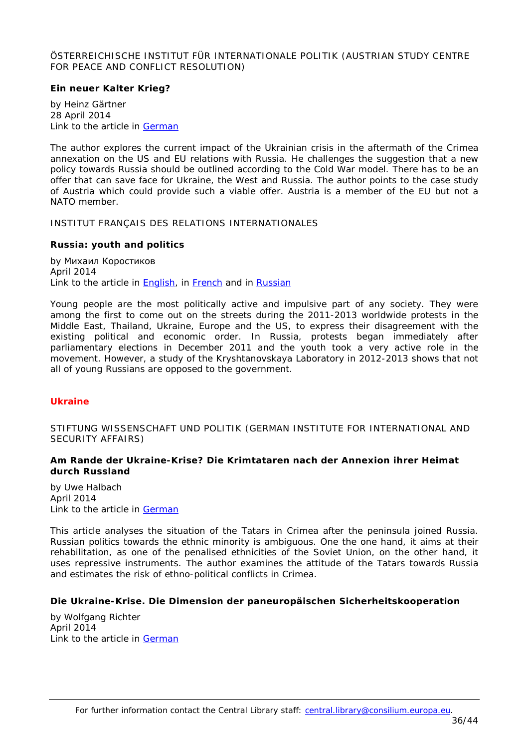## <span id="page-35-0"></span>ÖSTERREICHISCHE INSTITUT FÜR INTERNATIONALE POLITIK (AUSTRIAN STUDY CENTRE FOR PEACE AND CONFLICT RESOLUTION)

# <span id="page-35-1"></span>**Ein neuer Kalter Krieg?**

by Heinz Gärtner 28 April 2014 Link to the article in [German](http://www.oiip.ac.at/fileadmin/Unterlagen/Dateien/Kurzanalysen/Ein_neuer_Kalter_Krieg_2_2014.pdf)

The author explores the current impact of the Ukrainian crisis in the aftermath of the Crimea annexation on the US and EU relations with Russia. He challenges the suggestion that a new policy towards Russia should be outlined according to the Cold War model. There has to be an offer that can save face for Ukraine, the West and Russia. The author points to the case study of Austria which could provide such a viable offer. Austria is a member of the EU but not a NATO member.

<span id="page-35-2"></span>INSTITUT FRANÇAIS DES RELATIONS INTERNATIONALES

## <span id="page-35-3"></span>**Russia: youth and politics**

by Михаил Коростиков April 2014 Link to the article in **English**, in **French** and in **Russian** 

Young people are the most politically active and impulsive part of any society. They were among the first to come out on the streets during the 2011-2013 worldwide protests in the Middle East, Thailand, Ukraine, Europe and the US, to express their disagreement with the existing political and economic order. In Russia, protests began immediately after parliamentary elections in December 2011 and the youth took a very active role in the movement. However, a study of the Kryshtanovskaya Laboratory in 2012-2013 shows that not all of young Russians are opposed to the government.

## <span id="page-35-4"></span>*Ukraine*

<span id="page-35-5"></span>STIFTUNG WISSENSCHAFT UND POLITIK (GERMAN INSTITUTE FOR INTERNATIONAL AND SECURITY AFFAIRS)

# <span id="page-35-6"></span>**Am Rande der Ukraine-Krise? Die Krimtataren nach der Annexion ihrer Heimat durch Russland**

by Uwe Halbach April 2014 Link to the article in [German](http://www.swp-berlin.org/fileadmin/contents/products/aktuell/2014A27_hlb.pdf)

This article analyses the situation of the Tatars in Crimea after the peninsula joined Russia. Russian politics towards the ethnic minority is ambiguous. One the one hand, it aims at their rehabilitation, as one of the penalised ethnicities of the Soviet Union, on the other hand, it uses repressive instruments. The author examines the attitude of the Tatars towards Russia and estimates the risk of ethno-political conflicts in Crimea.

## <span id="page-35-7"></span>**Die Ukraine-Krise. Die Dimension der paneuropäischen Sicherheitskooperation**

by Wolfgang Richter April 2014 Link to the article in [German](http://www.swp-berlin.org/fileadmin/contents/products/aktuell/2014A23_rrw.pdf)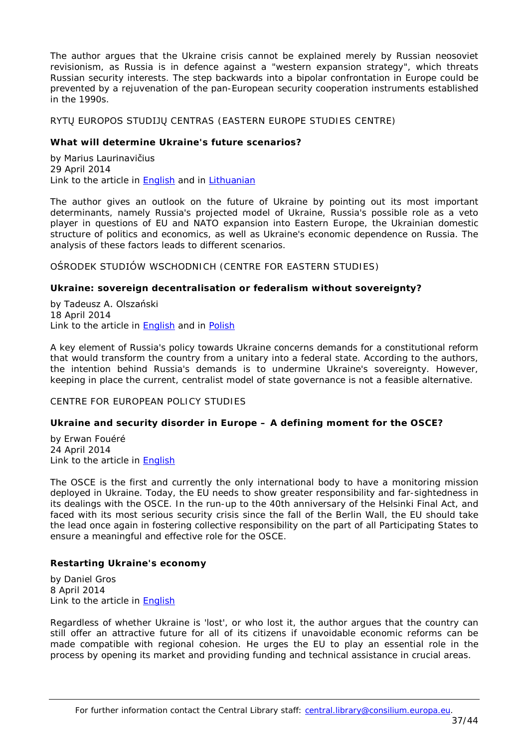The author argues that the Ukraine crisis cannot be explained merely by Russian neosoviet revisionism, as Russia is in defence against a "western expansion strategy", which threats Russian security interests. The step backwards into a bipolar confrontation in Europe could be prevented by a rejuvenation of the pan-European security cooperation instruments established in the 1990s.

<span id="page-36-0"></span>RYTŲ EUROPOS STUDIJŲ CENTRAS (EASTERN EUROPE STUDIES CENTRE)

## <span id="page-36-1"></span>**What will determine Ukraine's future scenarios?**

by Marius Laurinavičius 29 April 2014 Link to the article in [English](http://www.eesc.lt/uploads/news/id735/Eastern%20Pulse%20No%203%20(58).pdf) and in [Lithuanian](http://www.eesc.lt/uploads/news/id727/Rytu%20Pulsas%20Nr%203(58).pdf)

The author gives an outlook on the future of Ukraine by pointing out its most important determinants, namely Russia's projected model of Ukraine, Russia's possible role as a veto player in questions of EU and NATO expansion into Eastern Europe, the Ukrainian domestic structure of politics and economics, as well as Ukraine's economic dependence on Russia. The analysis of these factors leads to different scenarios.

<span id="page-36-2"></span>OŚRODEK STUDIÓW WSCHODNICH (CENTRE FOR EASTERN STUDIES)

# <span id="page-36-3"></span>**Ukraine: sovereign decentralisation or federalism without sovereignty?**

by Tadeusz A. Olszański 18 April 2014 Link to the article in **English** and in **Polish** 

A key element of Russia's policy towards Ukraine concerns demands for a constitutional reform that would transform the country from a unitary into a federal state. According to the authors, the intention behind Russia's demands is to undermine Ukraine's sovereignty. However, keeping in place the current, centralist model of state governance is not a feasible alternative.

<span id="page-36-4"></span>CENTRE FOR EUROPEAN POLICY STUDIES

# <span id="page-36-5"></span>**Ukraine and security disorder in Europe – A defining moment for the OSCE?**

by Erwan Fouéré 24 April 2014 Link to the article in **English** 

The OSCE is the first and currently the only international body to have a monitoring mission deployed in Ukraine. Today, the EU needs to show greater responsibility and far-sightedness in its dealings with the OSCE. In the run-up to the 40th anniversary of the Helsinki Final Act, and faced with its most serious security crisis since the fall of the Berlin Wall, the EU should take the lead once again in fostering collective responsibility on the part of all Participating States to ensure a meaningful and effective role for the OSCE.

# <span id="page-36-6"></span>**Restarting Ukraine's economy**

by Daniel Gros 8 April 2014 Link to the article in [English](http://www.ceps.be/ceps/dld/9152/pdf)

Regardless of whether Ukraine is 'lost', or who lost it, the author argues that the country can still offer an attractive future for all of its citizens if unavoidable economic reforms can be made compatible with regional cohesion. He urges the EU to play an essential role in the process by opening its market and providing funding and technical assistance in crucial areas.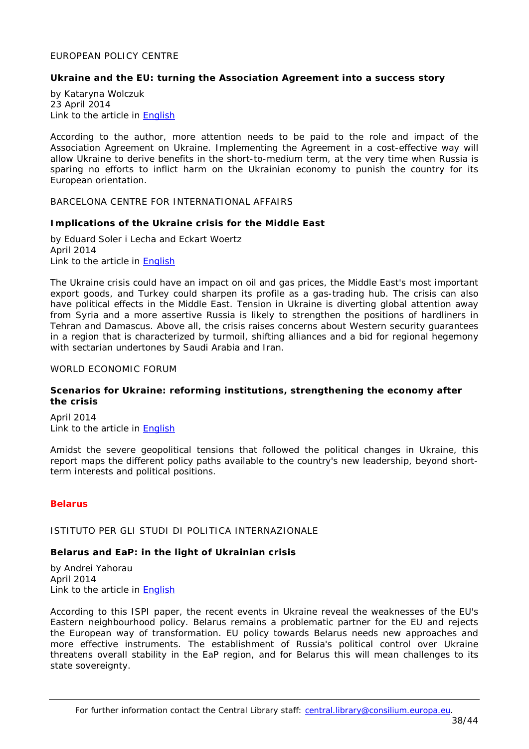#### <span id="page-37-0"></span>EUROPEAN POLICY CENTRE

## <span id="page-37-1"></span>**Ukraine and the EU: turning the Association Agreement into a success story**

by Kataryna Wolczuk 23 April 2014 Link to the article in [English](http://www.epc.eu/documents/uploads/pub_4360_ukraine_and_the_eu.pdf)

According to the author, more attention needs to be paid to the role and impact of the Association Agreement on Ukraine. Implementing the Agreement in a cost-effective way will allow Ukraine to derive benefits in the short-to-medium term, at the very time when Russia is sparing no efforts to inflict harm on the Ukrainian economy to punish the country for its European orientation.

# <span id="page-37-2"></span>BARCELONA CENTRE FOR INTERNATIONAL AFFAIRS

#### <span id="page-37-3"></span>**Implications of the Ukraine crisis for the Middle East**

by Eduard Soler i Lecha and Eckart Woertz April 2014 Link to the article in [English](http://www.cidob.org/en/content/download/38952/603316/file/NOTES+87_SOLER++WOERTH2_ANG.pdf)

The Ukraine crisis could have an impact on oil and gas prices, the Middle East's most important export goods, and Turkey could sharpen its profile as a gas-trading hub. The crisis can also have political effects in the Middle East. Tension in Ukraine is diverting global attention away from Syria and a more assertive Russia is likely to strengthen the positions of hardliners in Tehran and Damascus. Above all, the crisis raises concerns about Western security guarantees in a region that is characterized by turmoil, shifting alliances and a bid for regional hegemony with sectarian undertones by Saudi Arabia and Iran.

#### <span id="page-37-4"></span>WORLD ECONOMIC FORUM

#### <span id="page-37-5"></span>**Scenarios for Ukraine: reforming institutions, strengthening the economy after the crisis**

April 2014 Link to the article in [English](http://www3.weforum.org/docs/WEF_ScenariosSeries_Ukraine_Report_2014.pdf)

Amidst the severe geopolitical tensions that followed the political changes in Ukraine, this report maps the different policy paths available to the country's new leadership, beyond shortterm interests and political positions.

## <span id="page-37-6"></span>*Belarus*

<span id="page-37-7"></span>ISTITUTO PER GLI STUDI DI POLITICA INTERNAZIONALE

## <span id="page-37-8"></span>**Belarus and EaP: in the light of Ukrainian crisis**

by Andrei Yahorau April 2014 Link to the article in [English](http://www.ispionline.it/sites/default/files/pubblicazioni/analysis_243__2014.pdf)

According to this ISPI paper, the recent events in Ukraine reveal the weaknesses of the EU's Eastern neighbourhood policy. Belarus remains a problematic partner for the EU and rejects the European way of transformation. EU policy towards Belarus needs new approaches and more effective instruments. The establishment of Russia's political control over Ukraine threatens overall stability in the EaP region, and for Belarus this will mean challenges to its state sovereignty.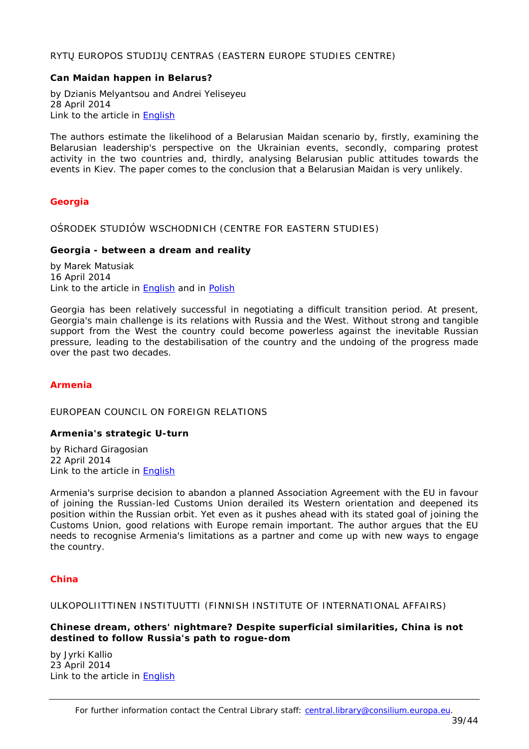# <span id="page-38-0"></span>RYTŲ EUROPOS STUDIJŲ CENTRAS (EASTERN EUROPE STUDIES CENTRE)

## <span id="page-38-1"></span>**Can Maidan happen in Belarus?**

by Dzianis Melyantsou and Andrei Yeliseyeu 28 April 2014 Link to the article in [English](http://www.eesc.lt/uploads/news/id728/Bell%202014%202%20(44).pdf)

The authors estimate the likelihood of a Belarusian Maidan scenario by, firstly, examining the Belarusian leadership's perspective on the Ukrainian events, secondly, comparing protest activity in the two countries and, thirdly, analysing Belarusian public attitudes towards the events in Kiev. The paper comes to the conclusion that a Belarusian Maidan is very unlikely.

# <span id="page-38-2"></span>*Georgia*

<span id="page-38-3"></span>OŚRODEK STUDIÓW WSCHODNICH (CENTRE FOR EASTERN STUDIES)

## <span id="page-38-4"></span>**Georgia - between a dream and reality**

by Marek Matusiak 16 April 2014 Link to the article in **English** and in **[Polish](http://www.osw.waw.pl/sites/default/files/komentarze_133.pdf)** 

Georgia has been relatively successful in negotiating a difficult transition period. At present, Georgia's main challenge is its relations with Russia and the West. Without strong and tangible support from the West the country could become powerless against the inevitable Russian pressure, leading to the destabilisation of the country and the undoing of the progress made over the past two decades.

## <span id="page-38-5"></span>*Armenia*

<span id="page-38-6"></span>EUROPEAN COUNCIL ON FOREIGN RELATIONS

## <span id="page-38-7"></span>**Armenia's strategic U-turn**

by Richard Giragosian 22 April 2014 Link to the article in [English](http://www.ecfr.eu/page/-/ECFR99_ARMENIA_MEMO_AW.pdf)

Armenia's surprise decision to abandon a planned Association Agreement with the EU in favour of joining the Russian-led Customs Union derailed its Western orientation and deepened its position within the Russian orbit. Yet even as it pushes ahead with its stated goal of joining the Customs Union, good relations with Europe remain important. The author argues that the EU needs to recognise Armenia's limitations as a partner and come up with new ways to engage the country.

## <span id="page-38-8"></span>*China*

#### <span id="page-38-9"></span>ULKOPOLIITTINEN INSTITUUTTI (FINNISH INSTITUTE OF INTERNATIONAL AFFAIRS)

<span id="page-38-10"></span>**Chinese dream, others' nightmare? Despite superficial similarities, China is not destined to follow Russia's path to rogue-dom**

by Jyrki Kallio 23 April 2014 Link to the article in **English**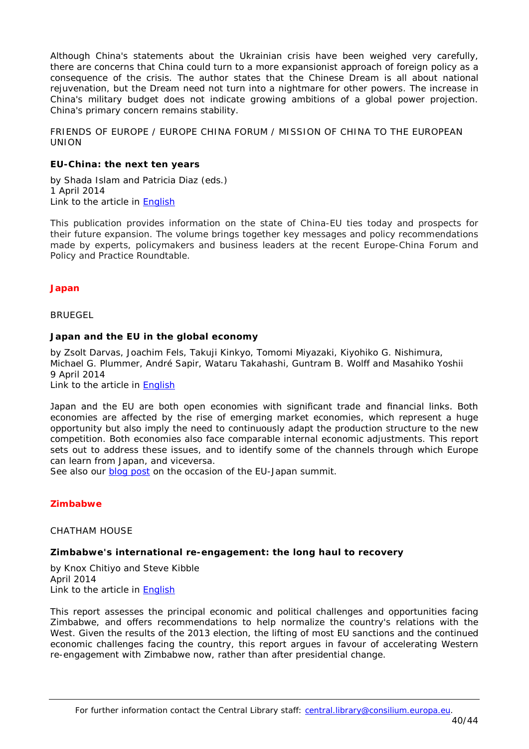Although China's statements about the Ukrainian crisis have been weighed very carefully, there are concerns that China could turn to a more expansionist approach of foreign policy as a consequence of the crisis. The author states that the Chinese Dream is all about national rejuvenation, but the Dream need not turn into a nightmare for other powers. The increase in China's military budget does not indicate growing ambitions of a global power projection. China's primary concern remains stability.

<span id="page-39-0"></span>FRIENDS OF EUROPE / EUROPE CHINA FORUM / MISSION OF CHINA TO THE EUROPEAN UNION

## <span id="page-39-1"></span>**EU-China: the next ten years**

by Shada Islam and Patricia Diaz (eds.) 1 April 2014 Link to the article in [English](http://www.friendsofeurope.org/PORTALS/13/DOCUMENTS/NEWSLETTERS/FOE_REPORT_BOOK_THENEXTTENYEARS_2014_WEB.PDF)

This publication provides information on the state of China-EU ties today and prospects for their future expansion. The volume brings together key messages and policy recommendations made by experts, policymakers and business leaders at the recent Europe-China Forum and Policy and Practice Roundtable.

# <span id="page-39-2"></span>*Japan*

<span id="page-39-3"></span>BRUEGEL

# <span id="page-39-4"></span>**Japan and the EU in the global economy**

by Zsolt Darvas, Joachim Fels, Takuji Kinkyo, Tomomi Miyazaki, Kiyohiko G. Nishimura, Michael G. Plummer, André Sapir, Wataru Takahashi, Guntram B. Wolff and Masahiko Yoshii 9 April 2014 Link to the article in [English](http://www.bruegel.org/download/parent/824-japan-and-the-eu-in-the-global-economy/file/1720-japan-and-the-eu-in-the-global-economy/)

Japan and the EU are both open economies with significant trade and financial links. Both economies are affected by the rise of emerging market economies, which represent a huge opportunity but also imply the need to continuously adapt the production structure to the new competition. Both economies also face comparable internal economic adjustments. This report sets out to address these issues, and to identify some of the channels through which Europe can learn from Japan, and viceversa.

*See also our [blog post](http://councillibrary.wordpress.com/2014/05/07/eu-japan-relations-trade-politics-and-re-emerging-together-from-the-crisis/) on the occasion of the EU-Japan summit.*

# <span id="page-39-5"></span>*Zimbabwe*

<span id="page-39-6"></span>CHATHAM HOUSE

## <span id="page-39-7"></span>**Zimbabwe's international re-engagement: the long haul to recovery**

by Knox Chitiyo and Steve Kibble April 2014 Link to the article in [English](http://www.chathamhouse.org/sites/default/files/home/chatham/public_html/sites/default/files/20140400Zimbabwe)

This report assesses the principal economic and political challenges and opportunities facing Zimbabwe, and offers recommendations to help normalize the country's relations with the West. Given the results of the 2013 election, the lifting of most EU sanctions and the continued economic challenges facing the country, this report argues in favour of accelerating Western re-engagement with Zimbabwe now, rather than after presidential change.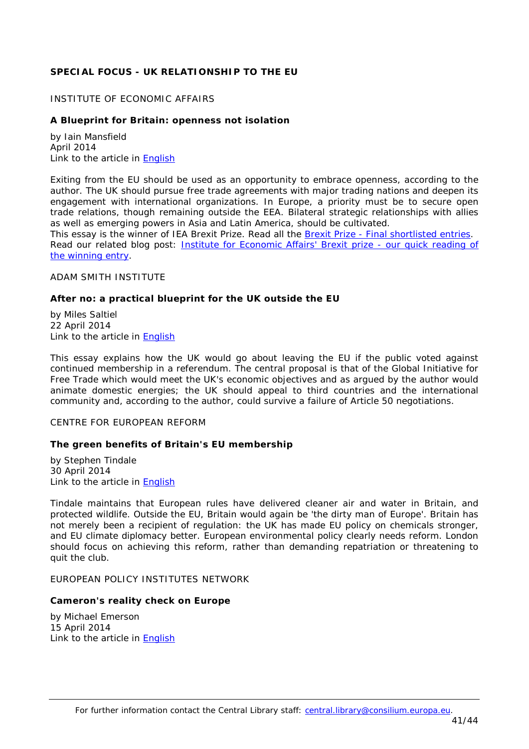# <span id="page-40-0"></span>**SPECIAL FOCUS - UK RELATIONSHIP TO THE EU**

#### <span id="page-40-1"></span>INSTITUTE OF ECONOMIC AFFAIRS

#### <span id="page-40-2"></span>**A Blueprint for Britain: openness not isolation**

by Iain Mansfield April 2014 Link to the article in **English** 

Exiting from the EU should be used as an opportunity to embrace openness, according to the author. The UK should pursue free trade agreements with major trading nations and deepen its engagement with international organizations. In Europe, a priority must be to secure open trade relations, though remaining outside the EEA. Bilateral strategic relationships with allies as well as emerging powers in Asia and Latin America, should be cultivated.

*This essay is the winner of IEA Brexit Prize. Read all the Brexit Prize - [Final shortlisted entries.](http://www.iea.org.uk/publications/research/brexit-prize-final-shortlisted-entries) Read our related blog post: Institute for [Economic Affairs' Brexit prize](http://councillibrary.wordpress.com/2014/04/10/institute-for-economic-affairs-brexit-prize-our-quick-reading-of-the-winning-entry/) - our quick reading of [the winning entry.](http://councillibrary.wordpress.com/2014/04/10/institute-for-economic-affairs-brexit-prize-our-quick-reading-of-the-winning-entry/)*

<span id="page-40-3"></span>ADAM SMITH INSTITUTE

#### <span id="page-40-4"></span>**After no: a practical blueprint for the UK outside the EU**

by Miles Saltiel 22 April 2014 Link to the article in [English](http://www.adamsmith.org/sites/default/files/research/files/Brexit%20essay%20for%20ASI.pdf)

This essay explains how the UK would go about leaving the EU if the public voted against continued membership in a referendum. The central proposal is that of the Global Initiative for Free Trade which would meet the UK's economic objectives and as argued by the author would animate domestic energies; the UK should appeal to third countries and the international community and, according to the author, could survive a failure of Article 50 negotiations.

#### <span id="page-40-5"></span>CENTRE FOR EUROPEAN REFORM

#### <span id="page-40-6"></span>**The green benefits of Britain's EU membership**

by Stephen Tindale 30 April 2014 Link to the article in [English](http://www.cer.org.uk/sites/default/files/publications/attachments/pdf/2014/green_benefits_policy_brief_final-8767.pdf)

Tindale maintains that European rules have delivered cleaner air and water in Britain, and protected wildlife. Outside the EU, Britain would again be 'the dirty man of Europe'. Britain has not merely been a recipient of regulation: the UK has made EU policy on chemicals stronger, and EU climate diplomacy better. European environmental policy clearly needs reform. London should focus on achieving this reform, rather than demanding repatriation or threatening to quit the club.

<span id="page-40-7"></span>EUROPEAN POLICY INSTITUTES NETWORK

#### <span id="page-40-8"></span>**Cameron's reality check on Europe**

by Michael Emerson 15 April 2014 Link to the article in [English](http://www.ceps.be/ceps/dld/9176/pdf)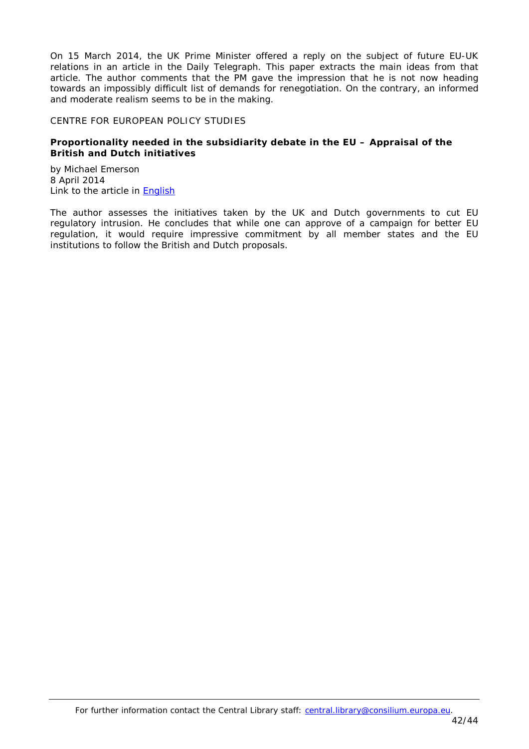On 15 March 2014, the UK Prime Minister offered a reply on the subject of future EU-UK relations in an article in the Daily Telegraph. This paper extracts the main ideas from that article. The author comments that the PM gave the impression that he is not now heading towards an impossibly difficult list of demands for renegotiation. On the contrary, an informed and moderate realism seems to be in the making.

#### <span id="page-41-0"></span>CENTRE FOR EUROPEAN POLICY STUDIES

# <span id="page-41-1"></span>**Proportionality needed in the subsidiarity debate in the EU – Appraisal of the British and Dutch initiatives**

by Michael Emerson 8 April 2014 Link to the article in [English](http://www.ceps.be/ceps/dld/9151/pdf)

The author assesses the initiatives taken by the UK and Dutch governments to cut EU regulatory intrusion. He concludes that while one can approve of a campaign for better EU regulation, it would require impressive commitment by all member states and the EU institutions to follow the British and Dutch proposals.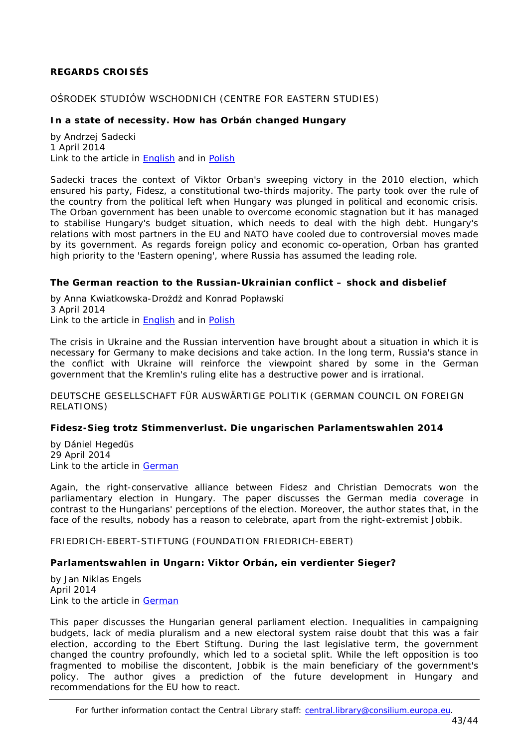# <span id="page-42-0"></span>**REGARDS CROISÉS**

# <span id="page-42-1"></span>OŚRODEK STUDIÓW WSCHODNICH (CENTRE FOR EASTERN STUDIES)

# <span id="page-42-2"></span>**In a state of necessity. How has Orbán changed Hungary**

by Andrzej Sadecki 1 April 2014 Link to the article in **English** and in **Polish** 

Sadecki traces the context of Viktor Orban's sweeping victory in the 2010 election, which ensured his party, Fidesz, a constitutional two-thirds majority. The party took over the rule of the country from the political left when Hungary was plunged in political and economic crisis. The Orban government has been unable to overcome economic stagnation but it has managed to stabilise Hungary's budget situation, which needs to deal with the high debt. Hungary's relations with most partners in the EU and NATO have cooled due to controversial moves made by its government. As regards foreign policy and economic co-operation, Orban has granted high priority to the 'Eastern opening', where Russia has assumed the leading role.

## <span id="page-42-3"></span>**The German reaction to the Russian-Ukrainian conflict – shock and disbelief**

by Anna Kwiatkowska-Drożdż and Konrad Popławski 3 April 2014 Link to the article in [English](http://www.osw.waw.pl/sites/default/files/commentary_132.pdf) and in [Polish](http://www.osw.waw.pl/sites/default/files/komentarze_132.pdf)

The crisis in Ukraine and the Russian intervention have brought about a situation in which it is necessary for Germany to make decisions and take action. In the long term, Russia's stance in the conflict with Ukraine will reinforce the viewpoint shared by some in the German government that the Kremlin's ruling elite has a destructive power and is irrational.

<span id="page-42-4"></span>DEUTSCHE GESELLSCHAFT FÜR AUSWÄRTIGE POLITIK (GERMAN COUNCIL ON FOREIGN RELATIONS)

## <span id="page-42-5"></span>**Fidesz-Sieg trotz Stimmenverlust. Die ungarischen Parlamentswahlen 2014**

by Dániel Hegedüs 29 April 2014 Link to the article in [German](https://dgap.org/de/article/getFullPDF/25343)

Again, the right-conservative alliance between Fidesz and Christian Democrats won the parliamentary election in Hungary. The paper discusses the German media coverage in contrast to the Hungarians' perceptions of the election. Moreover, the author states that, in the face of the results, nobody has a reason to celebrate, apart from the right-extremist Jobbik.

<span id="page-42-6"></span>FRIEDRICH-EBERT-STIFTUNG (FOUNDATION FRIEDRICH-EBERT)

## <span id="page-42-7"></span>**Parlamentswahlen in Ungarn: Viktor Orbán, ein verdienter Sieger?**

by Jan Niklas Engels April 2014 Link to the article in [German](http://library.fes.de/pdf-files/id-moe/10624.pdf)

This paper discusses the Hungarian general parliament election. Inequalities in campaigning budgets, lack of media pluralism and a new electoral system raise doubt that this was a fair election, according to the Ebert Stiftung. During the last legislative term, the government changed the country profoundly, which led to a societal split. While the left opposition is too fragmented to mobilise the discontent, Jobbik is the main beneficiary of the government's policy. The author gives a prediction of the future development in Hungary and recommendations for the EU how to react.

For further information contact the Central Library staff: central.library@consilium.europa.eu.